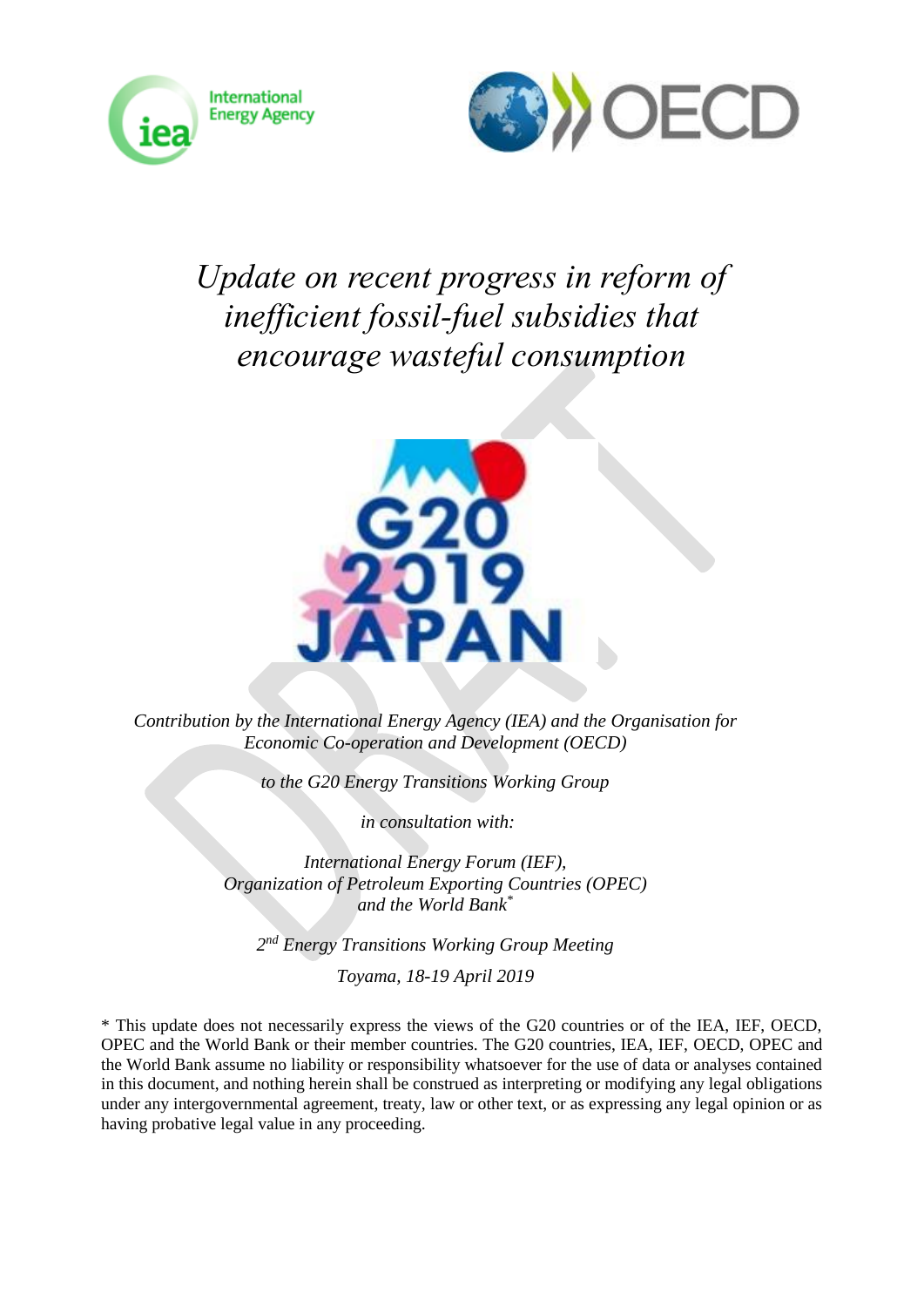



# *Update on recent progress in reform of inefficient fossil-fuel subsidies that encourage wasteful consumption*



*Contribution by the International Energy Agency (IEA) and the Organisation for Economic Co-operation and Development (OECD)* 

*to the G20 Energy Transitions Working Group*

*in consultation with:*

*International Energy Forum (IEF), Organization of Petroleum Exporting Countries (OPEC) and the World Bank\**

*2 nd Energy Transitions Working Group Meeting*

*Toyama, 18-19 April 2019*

\* This update does not necessarily express the views of the G20 countries or of the IEA, IEF, OECD, OPEC and the World Bank or their member countries. The G20 countries, IEA, IEF, OECD, OPEC and the World Bank assume no liability or responsibility whatsoever for the use of data or analyses contained in this document, and nothing herein shall be construed as interpreting or modifying any legal obligations under any intergovernmental agreement, treaty, law or other text, or as expressing any legal opinion or as having probative legal value in any proceeding.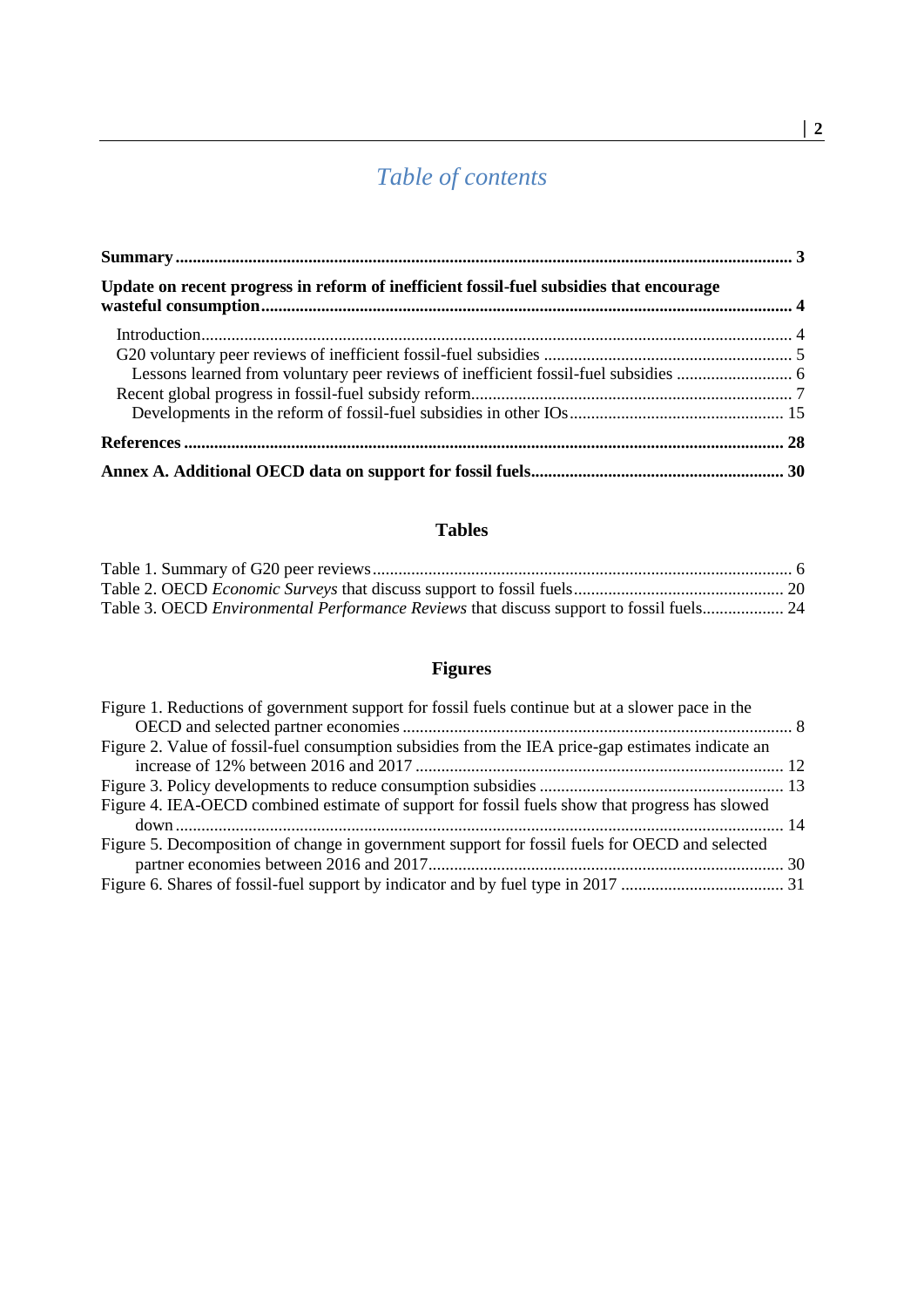## *Table of contents*

| Update on recent progress in reform of inefficient fossil-fuel subsidies that encourage |  |
|-----------------------------------------------------------------------------------------|--|
|                                                                                         |  |
|                                                                                         |  |
|                                                                                         |  |
|                                                                                         |  |
|                                                                                         |  |
|                                                                                         |  |
|                                                                                         |  |

## **Tables**

| Table 3. OECD <i>Environmental Performance Reviews</i> that discuss support to fossil fuels 24 |  |
|------------------------------------------------------------------------------------------------|--|

## **Figures**

| Figure 1. Reductions of government support for fossil fuels continue but at a slower pace in the  |  |
|---------------------------------------------------------------------------------------------------|--|
|                                                                                                   |  |
| Figure 2. Value of fossil-fuel consumption subsidies from the IEA price-gap estimates indicate an |  |
|                                                                                                   |  |
|                                                                                                   |  |
| Figure 4. IEA-OECD combined estimate of support for fossil fuels show that progress has slowed    |  |
|                                                                                                   |  |
| Figure 5. Decomposition of change in government support for fossil fuels for OECD and selected    |  |
|                                                                                                   |  |
|                                                                                                   |  |
|                                                                                                   |  |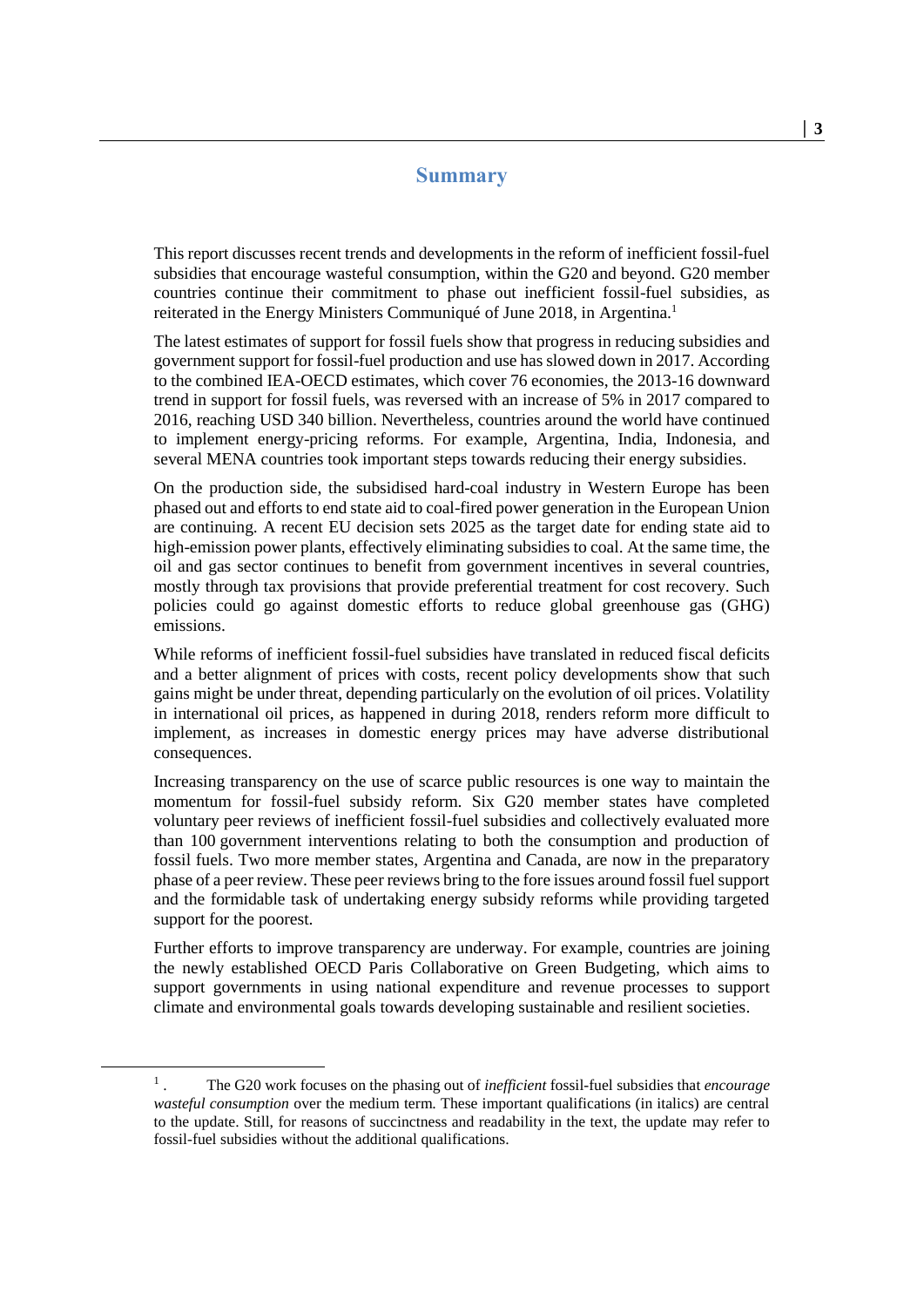#### <span id="page-2-1"></span>**Summary**

<span id="page-2-0"></span>This report discusses recent trends and developments in the reform of inefficient fossil-fuel subsidies that encourage wasteful consumption, within the G20 and beyond. G20 member countries continue their commitment to phase out inefficient fossil-fuel subsidies, as reiterated in the Energy Ministers Communiqué of June 2018, in Argentina.<sup>1</sup>

The latest estimates of support for fossil fuels show that progress in reducing subsidies and government support for fossil-fuel production and use has slowed down in 2017. According to the combined IEA-OECD estimates, which cover 76 economies, the 2013-16 downward trend in support for fossil fuels, was reversed with an increase of 5% in 2017 compared to 2016, reaching USD 340 billion. Nevertheless, countries around the world have continued to implement energy-pricing reforms. For example, Argentina, India, Indonesia, and several MENA countries took important steps towards reducing their energy subsidies.

On the production side, the subsidised hard-coal industry in Western Europe has been phased out and efforts to end state aid to coal-fired power generation in the European Union are continuing. A recent EU decision sets 2025 as the target date for ending state aid to high-emission power plants, effectively eliminating subsidies to coal. At the same time, the oil and gas sector continues to benefit from government incentives in several countries, mostly through tax provisions that provide preferential treatment for cost recovery. Such policies could go against domestic efforts to reduce global greenhouse gas (GHG) emissions.

While reforms of inefficient fossil-fuel subsidies have translated in reduced fiscal deficits and a better alignment of prices with costs, recent policy developments show that such gains might be under threat, depending particularly on the evolution of oil prices. Volatility in international oil prices, as happened in during 2018, renders reform more difficult to implement, as increases in domestic energy prices may have adverse distributional consequences.

Increasing transparency on the use of scarce public resources is one way to maintain the momentum for fossil-fuel subsidy reform. Six G20 member states have completed voluntary peer reviews of inefficient fossil-fuel subsidies and collectively evaluated more than 100 government interventions relating to both the consumption and production of fossil fuels. Two more member states, Argentina and Canada, are now in the preparatory phase of a peer review. These peer reviews bring to the fore issues around fossil fuel support and the formidable task of undertaking energy subsidy reforms while providing targeted support for the poorest.

Further efforts to improve transparency are underway. For example, countries are joining the newly established OECD Paris Collaborative on Green Budgeting, which aims to support governments in using national expenditure and revenue processes to support climate and environmental goals towards developing sustainable and resilient societies.

<sup>1</sup> . The G20 work focuses on the phasing out of *inefficient* fossil-fuel subsidies that *encourage wasteful consumption* over the medium term. These important qualifications (in italics) are central to the update. Still, for reasons of succinctness and readability in the text, the update may refer to fossil-fuel subsidies without the additional qualifications.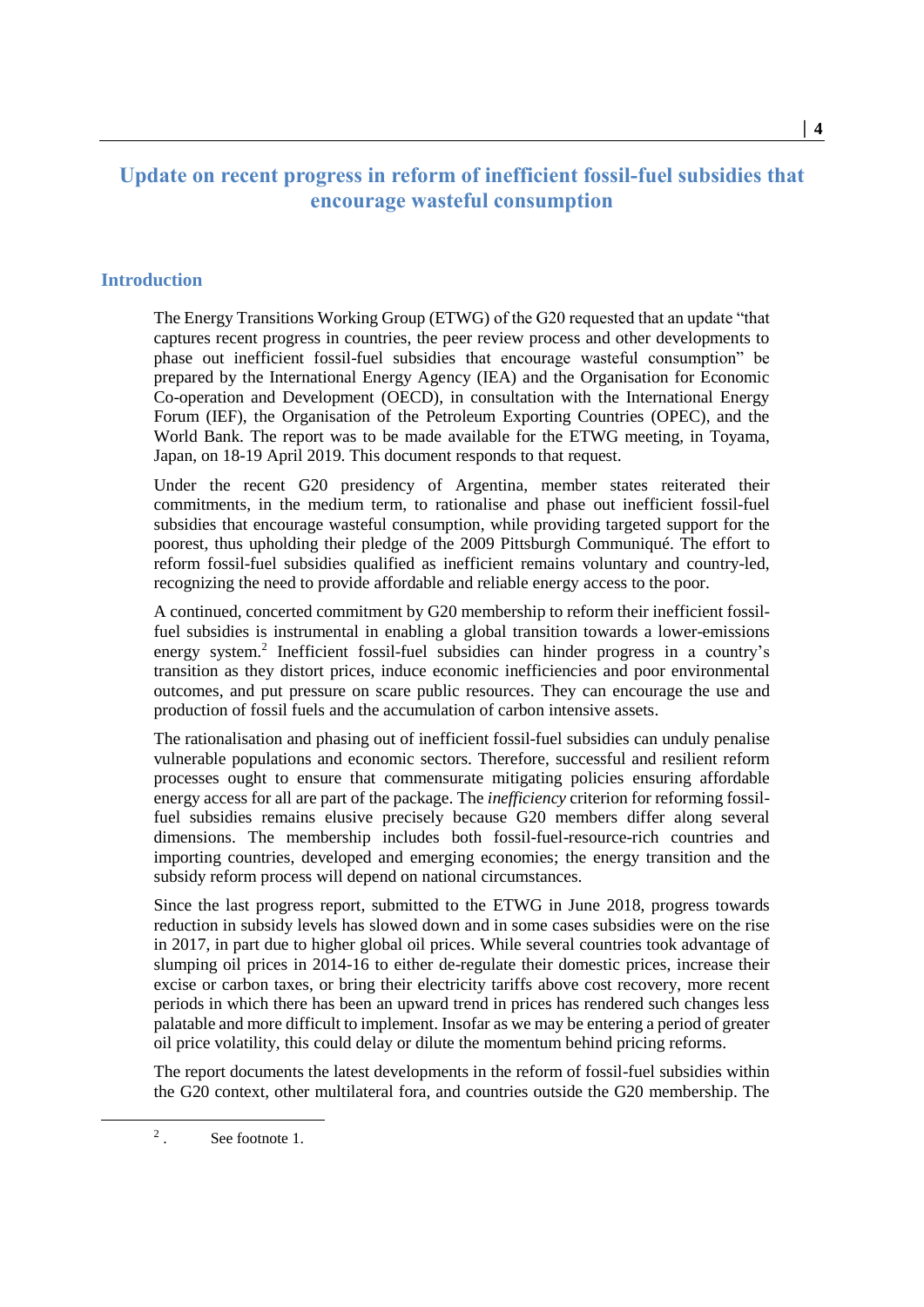### <span id="page-3-0"></span>**Update on recent progress in reform of inefficient fossil-fuel subsidies that encourage wasteful consumption**

#### <span id="page-3-1"></span>**Introduction**

The Energy Transitions Working Group (ETWG) of the G20 requested that an update "that captures recent progress in countries, the peer review process and other developments to phase out inefficient fossil-fuel subsidies that encourage wasteful consumption" be prepared by the International Energy Agency (IEA) and the Organisation for Economic Co-operation and Development (OECD), in consultation with the International Energy Forum (IEF), the Organisation of the Petroleum Exporting Countries (OPEC), and the World Bank. The report was to be made available for the ETWG meeting, in Toyama, Japan, on 18-19 April 2019. This document responds to that request.

Under the recent G20 presidency of Argentina, member states reiterated their commitments, in the medium term, to rationalise and phase out inefficient fossil-fuel subsidies that encourage wasteful consumption, while providing targeted support for the poorest, thus upholding their pledge of the 2009 Pittsburgh Communiqué. The effort to reform fossil-fuel subsidies qualified as inefficient remains voluntary and country-led, recognizing the need to provide affordable and reliable energy access to the poor.

A continued, concerted commitment by G20 membership to reform their inefficient fossilfuel subsidies is instrumental in enabling a global transition towards a lower-emissions energy system.<sup>2</sup> Inefficient fossil-fuel subsidies can hinder progress in a country's transition as they distort prices, induce economic inefficiencies and poor environmental outcomes, and put pressure on scare public resources. They can encourage the use and production of fossil fuels and the accumulation of carbon intensive assets.

The rationalisation and phasing out of inefficient fossil-fuel subsidies can unduly penalise vulnerable populations and economic sectors. Therefore, successful and resilient reform processes ought to ensure that commensurate mitigating policies ensuring affordable energy access for all are part of the package. The *inefficiency* criterion for reforming fossilfuel subsidies remains elusive precisely because G20 members differ along several dimensions. The membership includes both fossil-fuel-resource-rich countries and importing countries, developed and emerging economies; the energy transition and the subsidy reform process will depend on national circumstances.

Since the last progress report, submitted to the ETWG in June 2018, progress towards reduction in subsidy levels has slowed down and in some cases subsidies were on the rise in 2017, in part due to higher global oil prices. While several countries took advantage of slumping oil prices in 2014-16 to either de-regulate their domestic prices, increase their excise or carbon taxes, or bring their electricity tariffs above cost recovery, more recent periods in which there has been an upward trend in prices has rendered such changes less palatable and more difficult to implement. Insofar as we may be entering a period of greater oil price volatility, this could delay or dilute the momentum behind pricing reforms.

The report documents the latest developments in the reform of fossil-fuel subsidies within the G20 context, other multilateral fora, and countries outside the G20 membership. The

<sup>2</sup> . See footnote [1.](#page-2-1)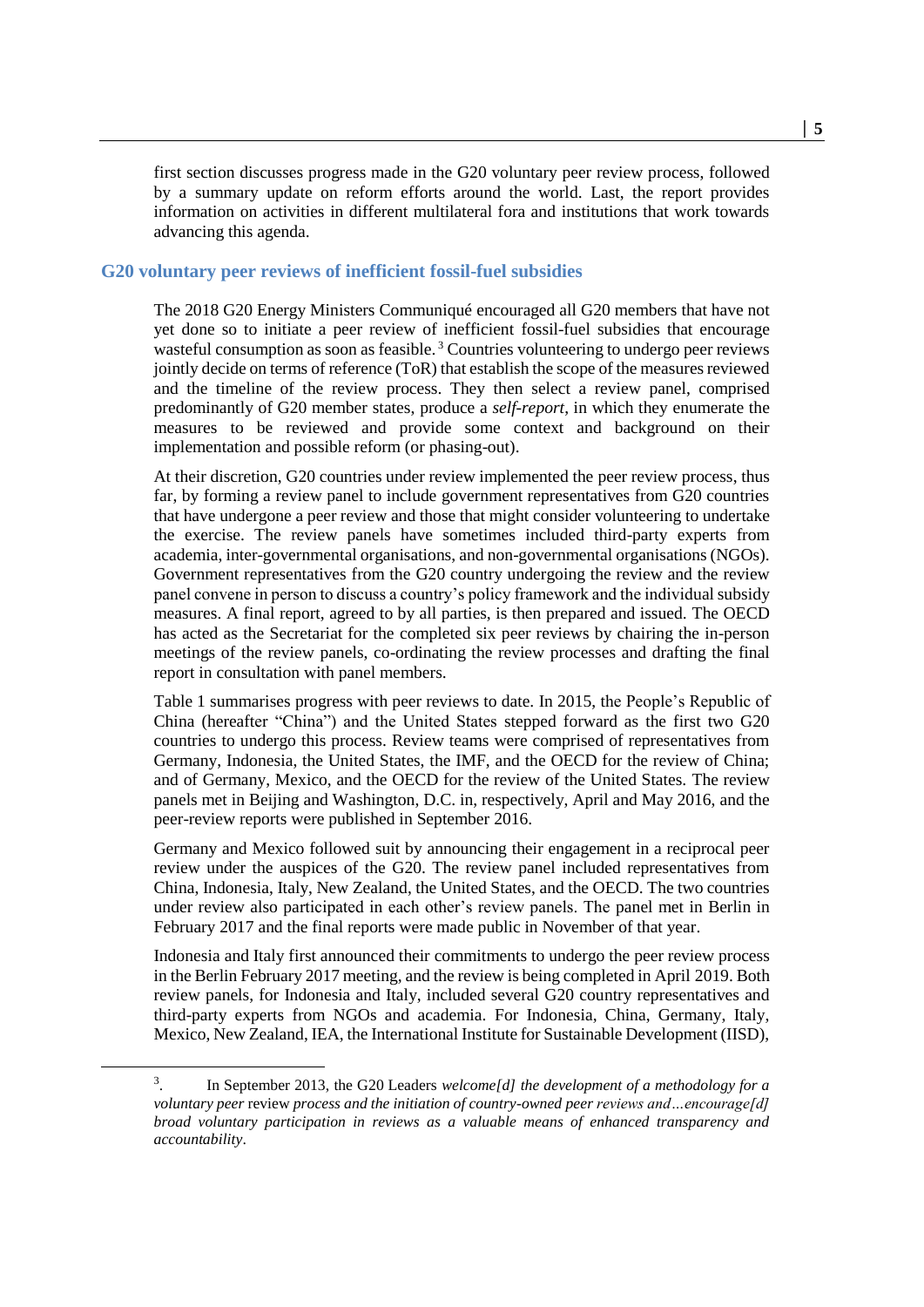first section discusses progress made in the G20 voluntary peer review process, followed by a summary update on reform efforts around the world. Last, the report provides information on activities in different multilateral fora and institutions that work towards advancing this agenda.

#### <span id="page-4-0"></span>**G20 voluntary peer reviews of inefficient fossil-fuel subsidies**

The 2018 G20 Energy Ministers Communiqué encouraged all G20 members that have not yet done so to initiate a peer review of inefficient fossil-fuel subsidies that encourage wasteful consumption as soon as feasible.<sup>3</sup> Countries volunteering to undergo peer reviews jointly decide on terms of reference (ToR) that establish the scope of the measures reviewed and the timeline of the review process. They then select a review panel, comprised predominantly of G20 member states, produce a *self-report*, in which they enumerate the measures to be reviewed and provide some context and background on their implementation and possible reform (or phasing-out).

At their discretion, G20 countries under review implemented the peer review process, thus far, by forming a review panel to include government representatives from G20 countries that have undergone a peer review and those that might consider volunteering to undertake the exercise. The review panels have sometimes included third-party experts from academia, inter-governmental organisations, and non-governmental organisations (NGOs). Government representatives from the G20 country undergoing the review and the review panel convene in person to discuss a country's policy framework and the individual subsidy measures. A final report, agreed to by all parties, is then prepared and issued. The OECD has acted as the Secretariat for the completed six peer reviews by chairing the in-person meetings of the review panels, co-ordinating the review processes and drafting the final report in consultation with panel members.

[Table](#page-5-1) 1 summarises progress with peer reviews to date. In 2015, the People's Republic of China (hereafter "China") and the United States stepped forward as the first two G20 countries to undergo this process. Review teams were comprised of representatives from Germany, Indonesia, the United States, the IMF, and the OECD for the review of China; and of Germany, Mexico, and the OECD for the review of the United States. The review panels met in Beijing and Washington, D.C. in, respectively, April and May 2016, and the peer-review reports were published in September 2016.

Germany and Mexico followed suit by announcing their engagement in a reciprocal peer review under the auspices of the G20. The review panel included representatives from China, Indonesia, Italy, New Zealand, the United States, and the OECD. The two countries under review also participated in each other's review panels. The panel met in Berlin in February 2017 and the final reports were made public in November of that year.

Indonesia and Italy first announced their commitments to undergo the peer review process in the Berlin February 2017 meeting, and the review is being completed in April 2019. Both review panels, for Indonesia and Italy, included several G20 country representatives and third-party experts from NGOs and academia. For Indonesia, China, Germany, Italy, Mexico, New Zealand, IEA, the International Institute for Sustainable Development (IISD),

<sup>3</sup> . In September 2013, the G20 Leaders *welcome[d] the development of a methodology for a voluntary peer* review *process and the initiation of country-owned peer reviews and…encourage[d] broad voluntary participation in reviews as a valuable means of enhanced transparency and accountability*.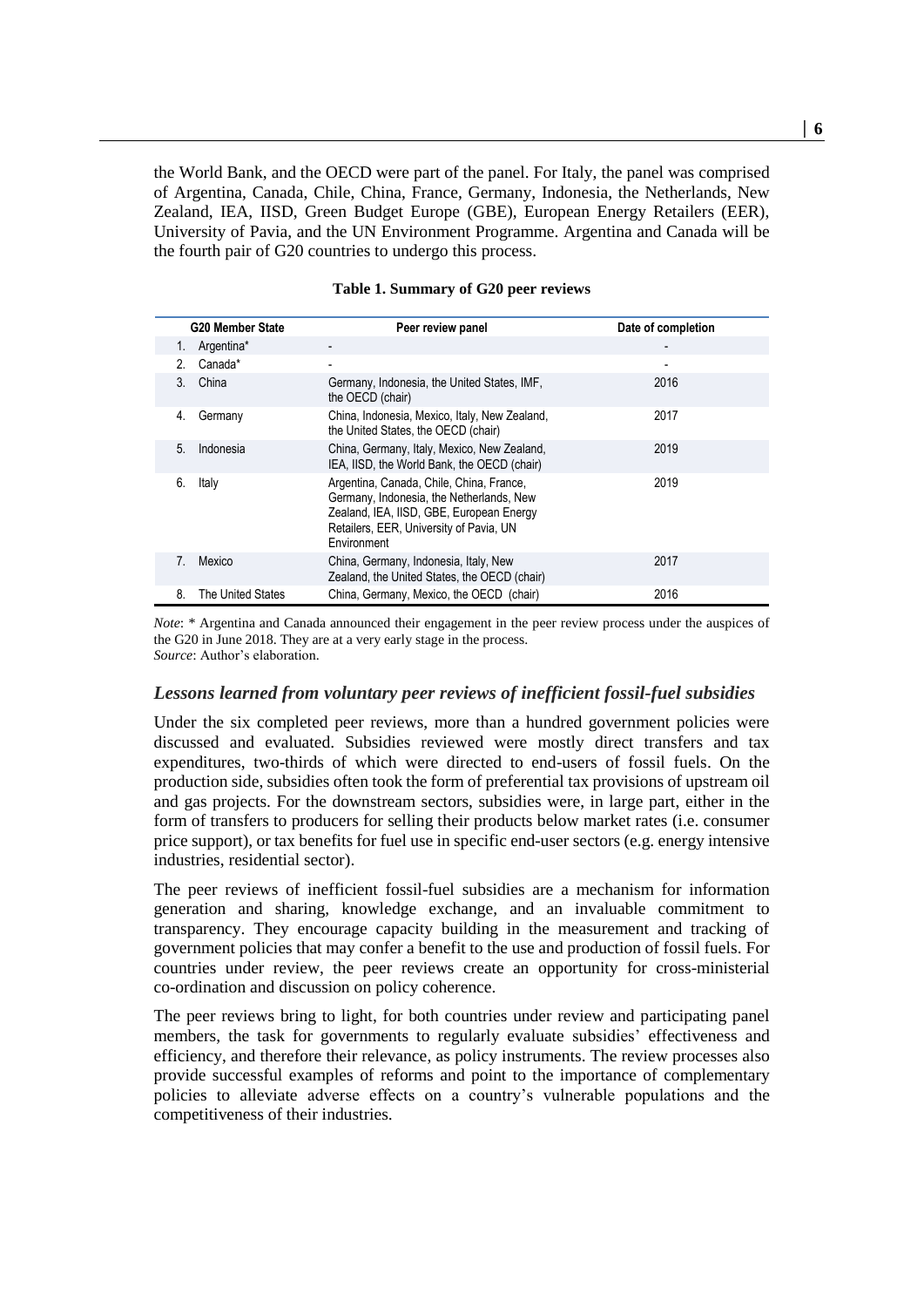the World Bank, and the OECD were part of the panel. For Italy, the panel was comprised of Argentina, Canada, Chile, China, France, Germany, Indonesia, the Netherlands, New Zealand, IEA, IISD, Green Budget Europe (GBE), European Energy Retailers (EER), University of Pavia, and the UN Environment Programme. Argentina and Canada will be the fourth pair of G20 countries to undergo this process.

<span id="page-5-1"></span>

|    | <b>G20 Member State</b> | Peer review panel                                                                                                                                                                          | Date of completion |
|----|-------------------------|--------------------------------------------------------------------------------------------------------------------------------------------------------------------------------------------|--------------------|
| 1. | Argentina*              |                                                                                                                                                                                            |                    |
| 2. | Canada*                 |                                                                                                                                                                                            | ٠                  |
| 3. | China                   | Germany, Indonesia, the United States, IMF,<br>the OECD (chair)                                                                                                                            | 2016               |
| 4. | Germany                 | China, Indonesia, Mexico, Italy, New Zealand,<br>the United States, the OECD (chair)                                                                                                       | 2017               |
| 5. | Indonesia               | China, Germany, Italy, Mexico, New Zealand,<br>IEA, IISD, the World Bank, the OECD (chair)                                                                                                 | 2019               |
| 6. | Italy                   | Argentina, Canada, Chile, China, France,<br>Germany, Indonesia, the Netherlands, New<br>Zealand, IEA, IISD, GBE, European Energy<br>Retailers, EER, University of Pavia, UN<br>Environment | 2019               |
| 7. | Mexico                  | China, Germany, Indonesia, Italy, New<br>Zealand, the United States, the OECD (chair)                                                                                                      | 2017               |
| 8. | The United States       | China, Germany, Mexico, the OECD (chair)                                                                                                                                                   | 2016               |

|  | Table 1. Summary of G20 peer reviews |  |  |  |
|--|--------------------------------------|--|--|--|
|--|--------------------------------------|--|--|--|

*Note*: \* Argentina and Canada announced their engagement in the peer review process under the auspices of the G20 in June 2018. They are at a very early stage in the process. *Source*: Author's elaboration.

#### <span id="page-5-0"></span>*Lessons learned from voluntary peer reviews of inefficient fossil-fuel subsidies*

Under the six completed peer reviews, more than a hundred government policies were discussed and evaluated. Subsidies reviewed were mostly direct transfers and tax expenditures, two-thirds of which were directed to end-users of fossil fuels. On the production side, subsidies often took the form of preferential tax provisions of upstream oil and gas projects. For the downstream sectors, subsidies were, in large part, either in the form of transfers to producers for selling their products below market rates (i.e. consumer price support), or tax benefits for fuel use in specific end-user sectors (e.g. energy intensive industries, residential sector).

The peer reviews of inefficient fossil-fuel subsidies are a mechanism for information generation and sharing, knowledge exchange, and an invaluable commitment to transparency. They encourage capacity building in the measurement and tracking of government policies that may confer a benefit to the use and production of fossil fuels. For countries under review, the peer reviews create an opportunity for cross-ministerial co-ordination and discussion on policy coherence.

The peer reviews bring to light, for both countries under review and participating panel members, the task for governments to regularly evaluate subsidies' effectiveness and efficiency, and therefore their relevance, as policy instruments. The review processes also provide successful examples of reforms and point to the importance of complementary policies to alleviate adverse effects on a country's vulnerable populations and the competitiveness of their industries.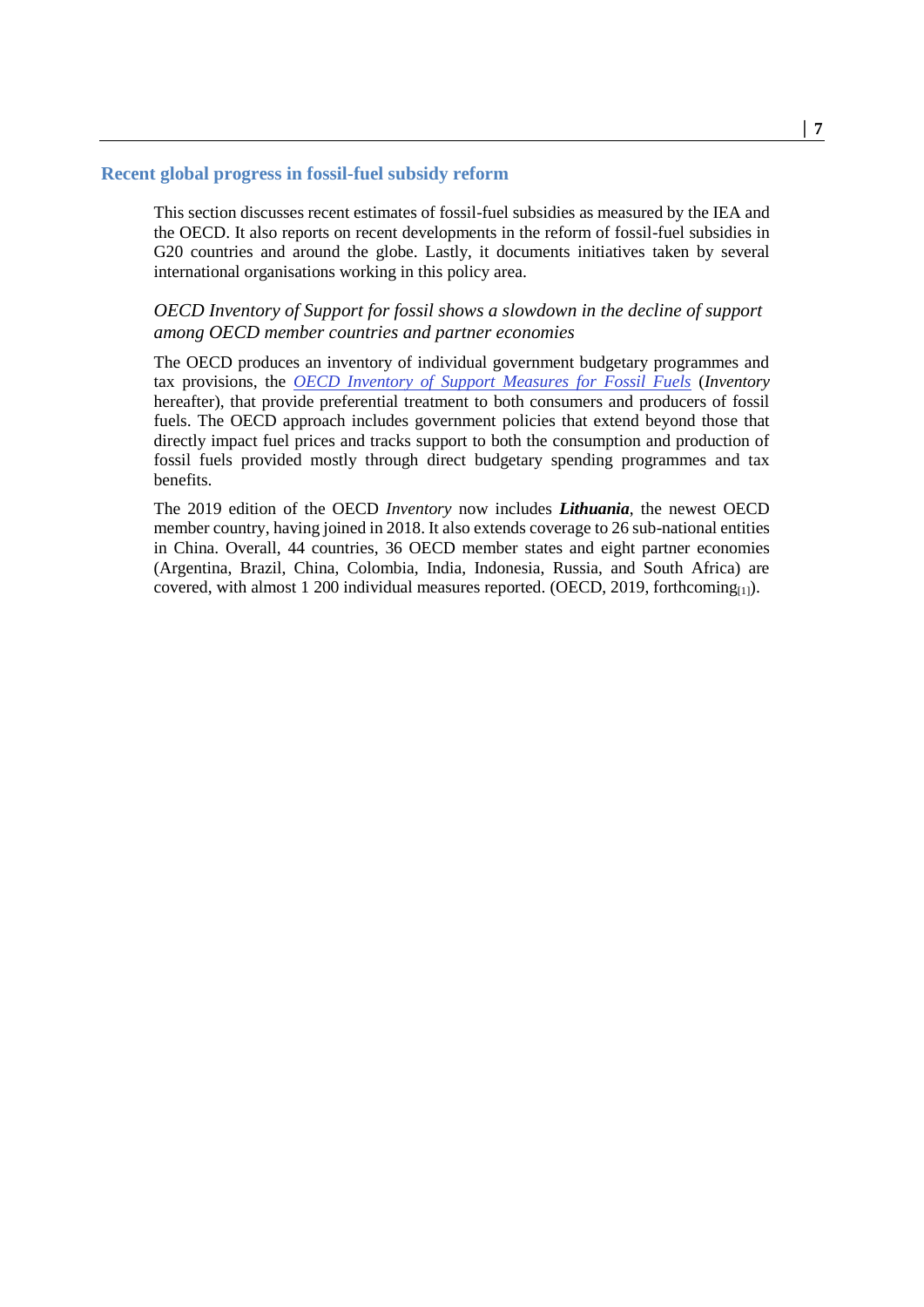#### <span id="page-6-0"></span>**Recent global progress in fossil-fuel subsidy reform**

This section discusses recent estimates of fossil-fuel subsidies as measured by the IEA and the OECD. It also reports on recent developments in the reform of fossil-fuel subsidies in G20 countries and around the globe. Lastly, it documents initiatives taken by several international organisations working in this policy area.

#### *OECD Inventory of Support for fossil shows a slowdown in the decline of support among OECD member countries and partner economies*

The OECD produces an inventory of individual government budgetary programmes and tax provisions, the *[OECD Inventory of Support Measures for Fossil Fuels](https://stats.oecd.org/Index.aspx?DataSetCode=FFS_AUS)* (*Inventory*  hereafter), that provide preferential treatment to both consumers and producers of fossil fuels. The OECD approach includes government policies that extend beyond those that directly impact fuel prices and tracks support to both the consumption and production of fossil fuels provided mostly through direct budgetary spending programmes and tax benefits.

The 2019 edition of the OECD *Inventory* now includes *Lithuania*, the newest OECD member country, having joined in 2018. It also extends coverage to 26 sub-national entities in China. Overall, 44 countries, 36 OECD member states and eight partner economies (Argentina, Brazil, China, Colombia, India, Indonesia, Russia, and South Africa) are covered, with almost 1 200 individual measures reported. (OECD, 2019, forthcoming $_{[1]}$ ).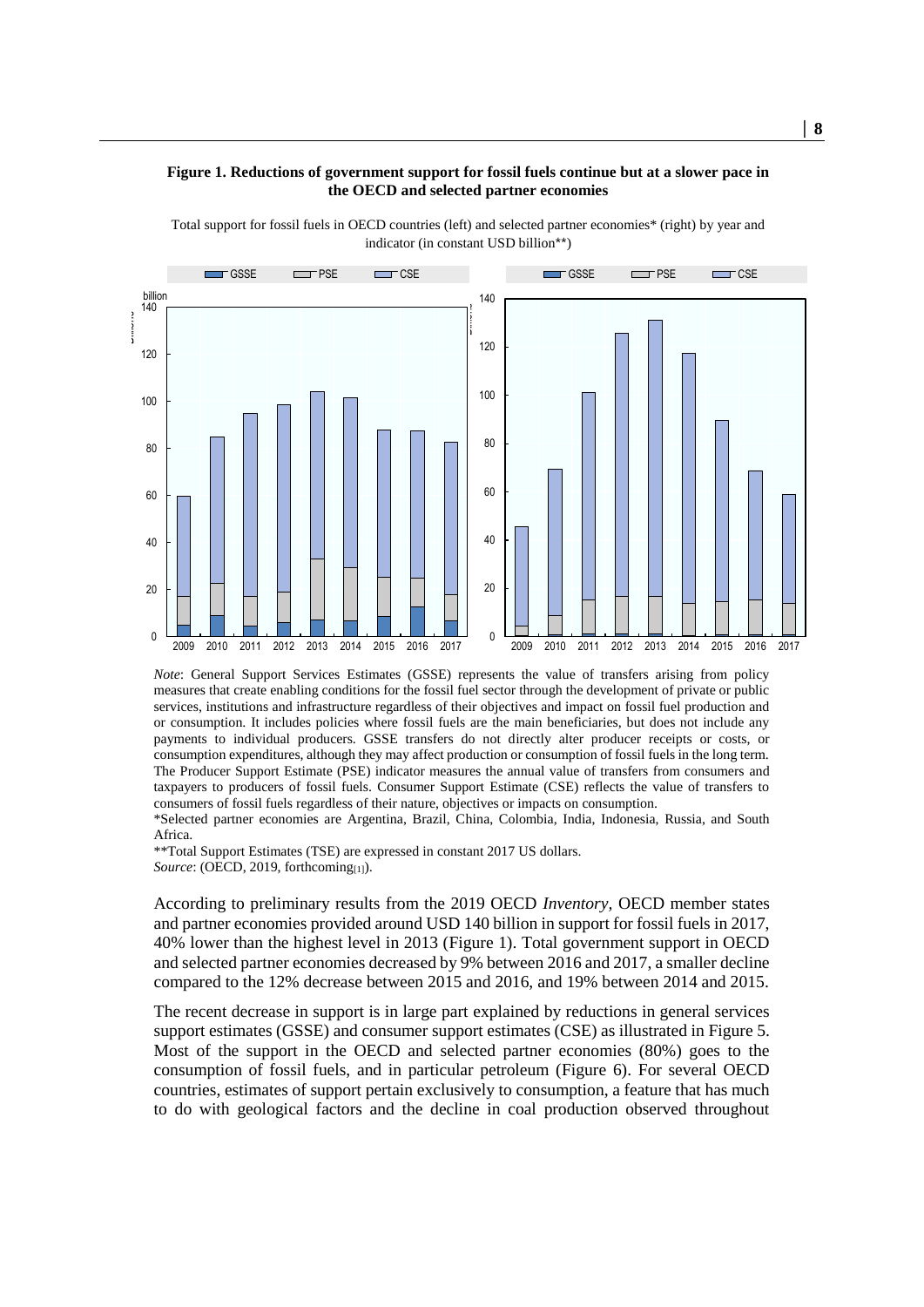#### <span id="page-7-0"></span>**Figure 1. Reductions of government support for fossil fuels continue but at a slower pace in the OECD and selected partner economies**

Total support for fossil fuels in OECD countries (left) and selected partner economies\* (right) by year and indicator (in constant USD billion\*\*)



*Note*: General Support Services Estimates (GSSE) represents the value of transfers arising from policy measures that create enabling conditions for the fossil fuel sector through the development of private or public services, institutions and infrastructure regardless of their objectives and impact on fossil fuel production and or consumption. It includes policies where fossil fuels are the main beneficiaries, but does not include any payments to individual producers. GSSE transfers do not directly alter producer receipts or costs, or consumption expenditures, although they may affect production or consumption of fossil fuels in the long term. The Producer Support Estimate (PSE) indicator measures the annual value of transfers from consumers and taxpayers to producers of fossil fuels. Consumer Support Estimate (CSE) reflects the value of transfers to consumers of fossil fuels regardless of their nature, objectives or impacts on consumption.

\*Selected partner economies are Argentina, Brazil, China, Colombia, India, Indonesia, Russia, and South Africa.

\*\*Total Support Estimates (TSE) are expressed in constant 2017 US dollars. Source: (OECD, 2019, forthcoming<sub>[1]</sub>).

According to preliminary results from the 2019 OECD *Inventory,* OECD member states and partner economies provided around USD 140 billion in support for fossil fuels in 2017, 40% lower than the highest level in 2013 [\(Figure 1\)](#page-7-0). Total government support in OECD and selected partner economies decreased by 9% between 2016 and 2017, a smaller decline compared to the 12% decrease between 2015 and 2016, and 19% between 2014 and 2015.

The recent decrease in support is in large part explained by reductions in general services support estimates (GSSE) and consumer support estimates (CSE) as illustrated i[n Figure 5.](#page-29-1) Most of the support in the OECD and selected partner economies (80%) goes to the consumption of fossil fuels, and in particular petroleum [\(Figure 6\)](#page-30-0). For several OECD countries, estimates of support pertain exclusively to consumption, a feature that has much to do with geological factors and the decline in coal production observed throughout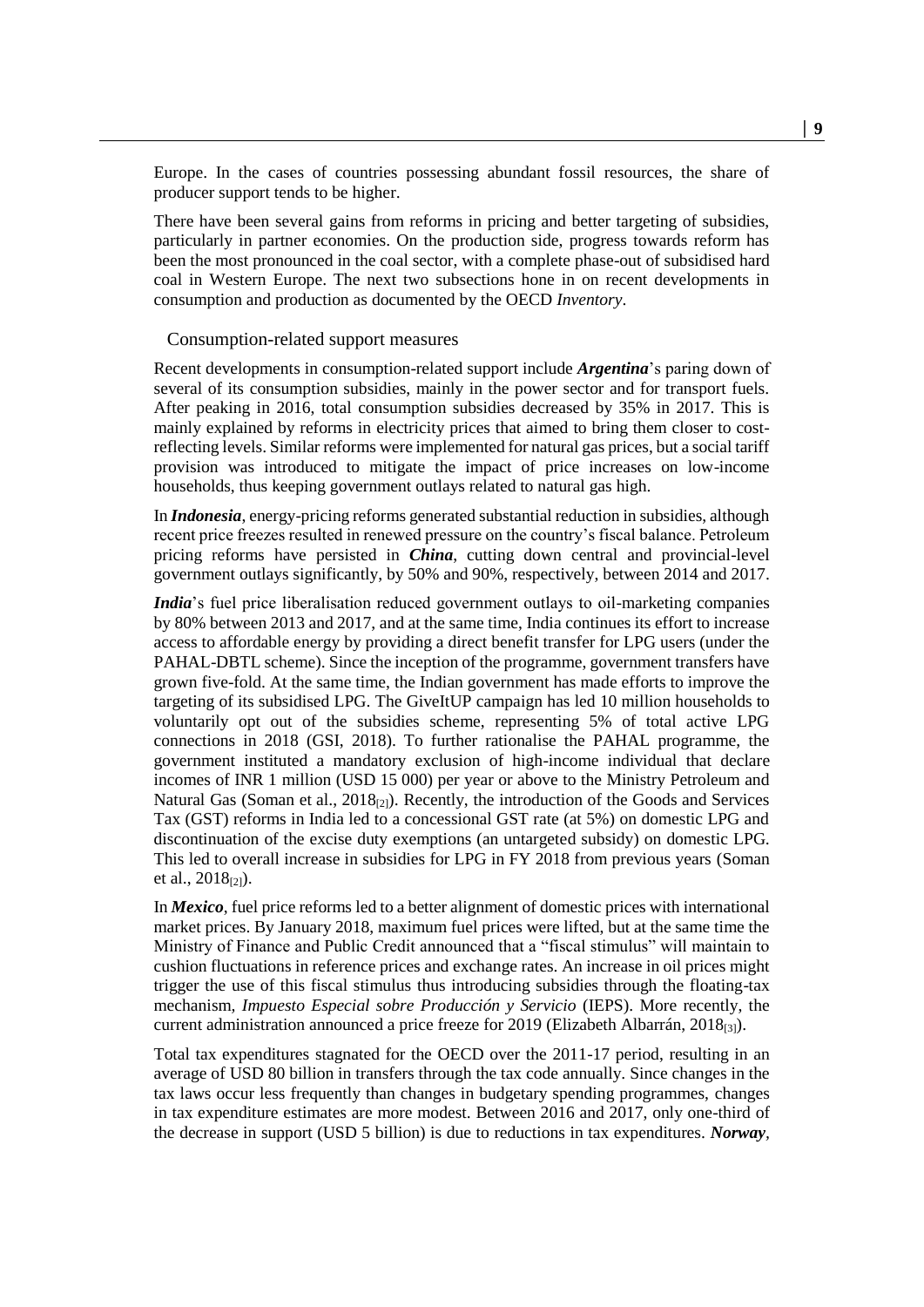Europe. In the cases of countries possessing abundant fossil resources, the share of producer support tends to be higher.

There have been several gains from reforms in pricing and better targeting of subsidies, particularly in partner economies. On the production side, progress towards reform has been the most pronounced in the coal sector, with a complete phase-out of subsidised hard coal in Western Europe. The next two subsections hone in on recent developments in consumption and production as documented by the OECD *Inventory*.

#### Consumption-related support measures

Recent developments in consumption-related support include *Argentina*'s paring down of several of its consumption subsidies, mainly in the power sector and for transport fuels. After peaking in 2016, total consumption subsidies decreased by 35% in 2017. This is mainly explained by reforms in electricity prices that aimed to bring them closer to costreflecting levels. Similar reforms were implemented for natural gas prices, but a social tariff provision was introduced to mitigate the impact of price increases on low-income households, thus keeping government outlays related to natural gas high.

In *Indonesia*, energy-pricing reforms generated substantial reduction in subsidies, although recent price freezes resulted in renewed pressure on the country's fiscal balance. Petroleum pricing reforms have persisted in *China*, cutting down central and provincial-level government outlays significantly, by 50% and 90%, respectively, between 2014 and 2017.

*India*'s fuel price liberalisation reduced government outlays to oil-marketing companies by 80% between 2013 and 2017, and at the same time, India continues its effort to increase access to affordable energy by providing a direct benefit transfer for LPG users (under the PAHAL-DBTL scheme). Since the inception of the programme, government transfers have grown five-fold. At the same time, the Indian government has made efforts to improve the targeting of its subsidised LPG. The GiveItUP campaign has led 10 million households to voluntarily opt out of the subsidies scheme, representing 5% of total active LPG connections in 2018 (GSI, 2018). To further rationalise the PAHAL programme, the government instituted a mandatory exclusion of high-income individual that declare incomes of INR 1 million (USD 15 000) per year or above to the Ministry Petroleum and Natural Gas (Soman et al.,  $2018_{[2]}$ ). Recently, the introduction of the Goods and Services Tax (GST) reforms in India led to a concessional GST rate (at 5%) on domestic LPG and discontinuation of the excise duty exemptions (an untargeted subsidy) on domestic LPG. This led to overall increase in subsidies for LPG in FY 2018 from previous years (Soman et al.,  $2018_{[2]}$ ).

In *Mexico*, fuel price reforms led to a better alignment of domestic prices with international market prices. By January 2018, maximum fuel prices were lifted, but at the same time the Ministry of Finance and Public Credit announced that a "fiscal stimulus" will maintain to cushion fluctuations in reference prices and exchange rates. An increase in oil prices might trigger the use of this fiscal stimulus thus introducing subsidies through the floating-tax mechanism*, Impuesto Especial sobre Producción y Servicio* (IEPS). More recently, the current administration announced a price freeze for 2019 (Elizabeth Albarrán, 2018<sub>[3]</sub>).

Total tax expenditures stagnated for the OECD over the 2011-17 period, resulting in an average of USD 80 billion in transfers through the tax code annually. Since changes in the tax laws occur less frequently than changes in budgetary spending programmes, changes in tax expenditure estimates are more modest. Between 2016 and 2017, only one-third of the decrease in support (USD 5 billion) is due to reductions in tax expenditures. *Norway,*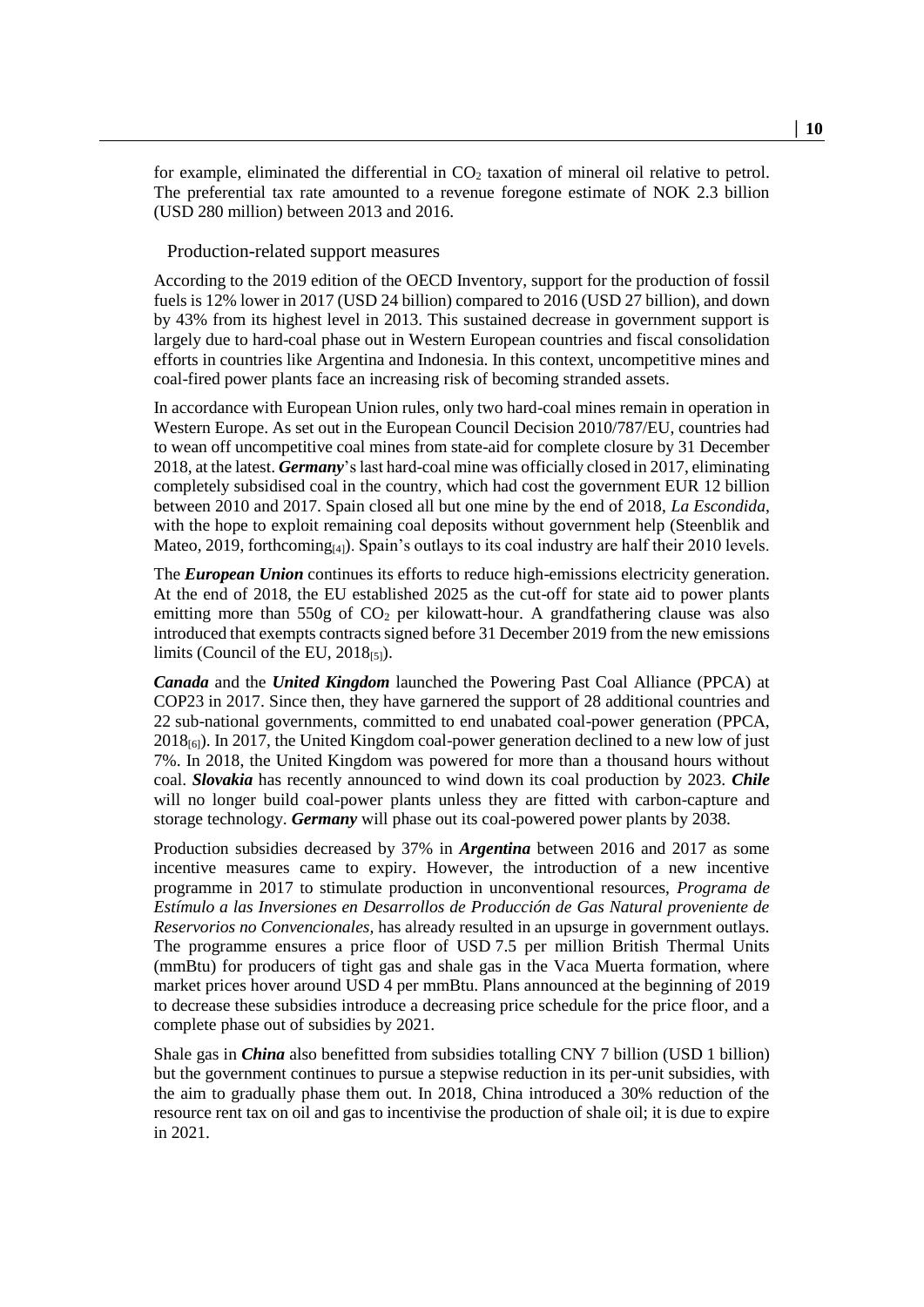for example, eliminated the differential in  $CO<sub>2</sub>$  taxation of mineral oil relative to petrol. The preferential tax rate amounted to a revenue foregone estimate of NOK 2.3 billion (USD 280 million) between 2013 and 2016.

#### Production-related support measures

According to the 2019 edition of the OECD Inventory, support for the production of fossil fuels is 12% lower in 2017 (USD 24 billion) compared to 2016 (USD 27 billion), and down by 43% from its highest level in 2013. This sustained decrease in government support is largely due to hard-coal phase out in Western European countries and fiscal consolidation efforts in countries like Argentina and Indonesia. In this context, uncompetitive mines and coal-fired power plants face an increasing risk of becoming stranded assets.

In accordance with European Union rules, only two hard-coal mines remain in operation in Western Europe. As set out in the European Council Decision 2010/787/EU, countries had to wean off uncompetitive coal mines from state-aid for complete closure by 31 December 2018, at the latest. *Germany*'s last hard-coal mine was officially closed in 2017, eliminating completely subsidised coal in the country, which had cost the government EUR 12 billion between 2010 and 2017. Spain closed all but one mine by the end of 2018, *La Escondida*, with the hope to exploit remaining coal deposits without government help (Steenblik and Mateo, 2019, forthcoming $_{[4]}$ ). Spain's outlays to its coal industry are half their 2010 levels.

The *European Union* continues its efforts to reduce high-emissions electricity generation. At the end of 2018, the EU established 2025 as the cut-off for state aid to power plants emitting more than  $550g$  of  $CO<sub>2</sub>$  per kilowatt-hour. A grandfathering clause was also introduced that exempts contracts signed before 31 December 2019 from the new emissions limits (Council of the EU,  $2018_{[5]}$ ).

*Canada* and the *United Kingdom* launched the Powering Past Coal Alliance (PPCA) at COP23 in 2017. Since then, they have garnered the support of 28 additional countries and 22 sub-national governments, committed to end unabated coal-power generation (PPCA,  $2018_{[6]}$ ). In 2017, the United Kingdom coal-power generation declined to a new low of just 7%. In 2018, the United Kingdom was powered for more than a thousand hours without coal. *Slovakia* has recently announced to wind down its coal production by 2023. *Chile* will no longer build coal-power plants unless they are fitted with carbon-capture and storage technology. *Germany* will phase out its coal-powered power plants by 2038.

Production subsidies decreased by 37% in *Argentina* between 2016 and 2017 as some incentive measures came to expiry. However, the introduction of a new incentive programme in 2017 to stimulate production in unconventional resources, *Programa de Estímulo a las Inversiones en Desarrollos de Producción de Gas Natural proveniente de Reservorios no Convencionales,* has already resulted in an upsurge in government outlays. The programme ensures a price floor of USD 7.5 per million British Thermal Units (mmBtu) for producers of tight gas and shale gas in the Vaca Muerta formation, where market prices hover around USD 4 per mmBtu. Plans announced at the beginning of 2019 to decrease these subsidies introduce a decreasing price schedule for the price floor, and a complete phase out of subsidies by 2021.

Shale gas in *China* also benefitted from subsidies totalling CNY 7 billion (USD 1 billion) but the government continues to pursue a stepwise reduction in its per-unit subsidies, with the aim to gradually phase them out. In 2018, China introduced a 30% reduction of the resource rent tax on oil and gas to incentivise the production of shale oil; it is due to expire in 2021.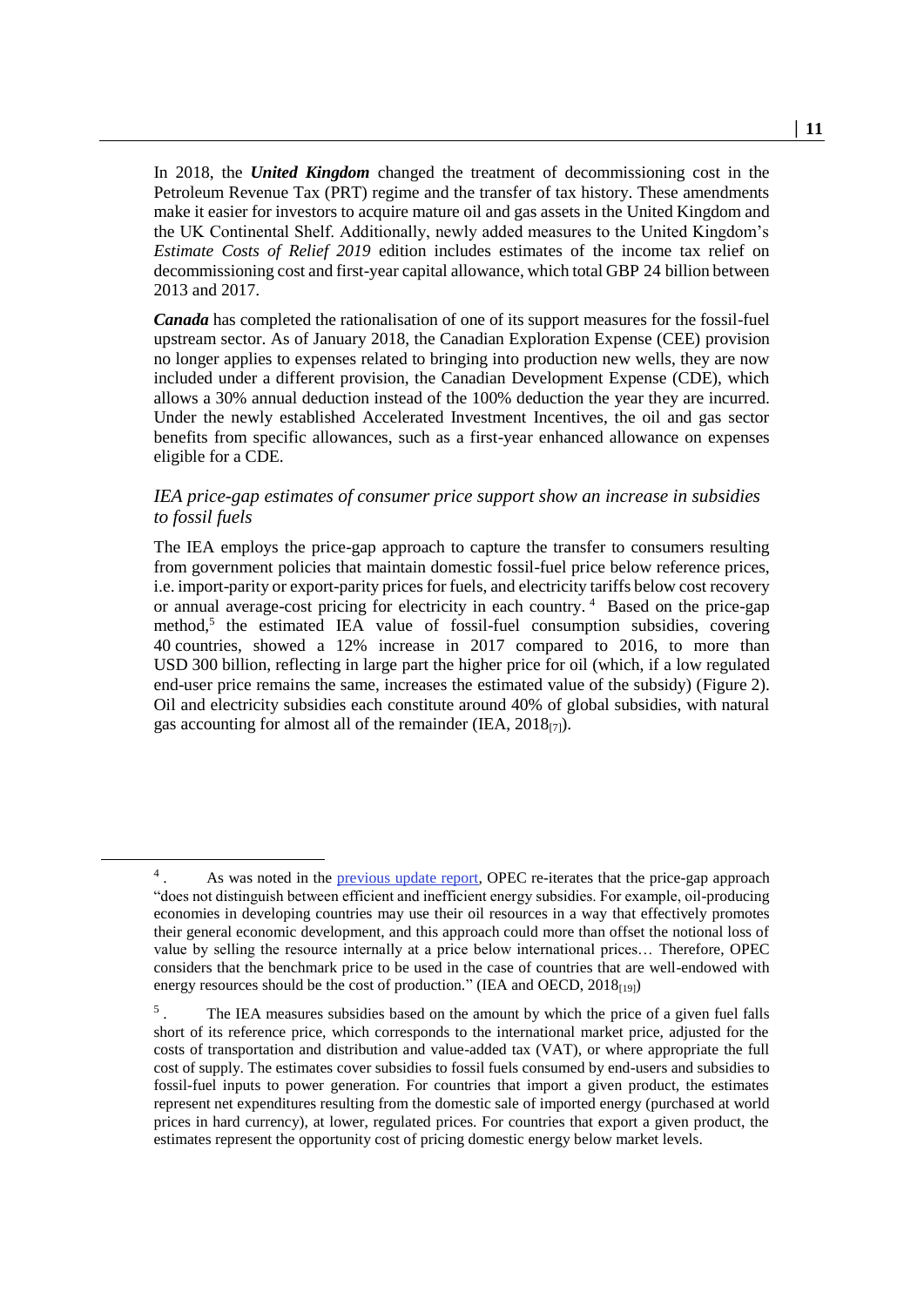In 2018, the *United Kingdom* changed the treatment of decommissioning cost in the Petroleum Revenue Tax (PRT) regime and the transfer of tax history. These amendments make it easier for investors to acquire mature oil and gas assets in the United Kingdom and the UK Continental Shelf. Additionally, newly added measures to the United Kingdom's *Estimate Costs of Relief 2019* edition includes estimates of the income tax relief on decommissioning cost and first-year capital allowance, which total GBP 24 billion between 2013 and 2017.

*Canada* has completed the rationalisation of one of its support measures for the fossil-fuel upstream sector. As of January 2018, the Canadian Exploration Expense (CEE) provision no longer applies to expenses related to bringing into production new wells, they are now included under a different provision, the Canadian Development Expense (CDE), which allows a 30% annual deduction instead of the 100% deduction the year they are incurred. Under the newly established Accelerated Investment Incentives, the oil and gas sector benefits from specific allowances, such as a first-year enhanced allowance on expenses eligible for a CDE.

#### *IEA price-gap estimates of consumer price support show an increase in subsidies to fossil fuels*

<span id="page-10-0"></span>The IEA employs the price-gap approach to capture the transfer to consumers resulting from government policies that maintain domestic fossil-fuel price below reference prices, i.e. import-parity or export-parity prices for fuels, and electricity tariffs below cost recovery or annual average-cost pricing for electricity in each country.<sup>4</sup> Based on the price-gap method, 5 the estimated IEA value of fossil-fuel consumption subsidies, covering 40 countries, showed a 12% increase in 2017 compared to 2016, to more than USD 300 billion, reflecting in large part the higher price for oil (which, if a low regulated end-user price remains the same, increases the estimated value of the subsidy) [\(Figure](#page-11-0) 2). Oil and electricity subsidies each constitute around 40% of global subsidies, with natural gas accounting for almost all of the remainder (IEA,  $2018_{[7]}$ ).

<sup>4</sup> As was noted in the [previous update report,](http://www.oecd.org/site/tadffss/publication/update-progress-reform-fossil-fuel-subsidies-g20.pdf) OPEC re-iterates that the price-gap approach "does not distinguish between efficient and inefficient energy subsidies. For example, oil-producing economies in developing countries may use their oil resources in a way that effectively promotes their general economic development, and this approach could more than offset the notional loss of value by selling the resource internally at a price below international prices… Therefore, OPEC considers that the benchmark price to be used in the case of countries that are well-endowed with energy resources should be the cost of production." (IEA and OECD,  $2018_{[19]}$ )

<sup>5</sup> . The IEA measures subsidies based on the amount by which the price of a given fuel falls short of its reference price, which corresponds to the international market price, adjusted for the costs of transportation and distribution and value-added tax (VAT), or where appropriate the full cost of supply. The estimates cover subsidies to fossil fuels consumed by end-users and subsidies to fossil-fuel inputs to power generation. For countries that import a given product, the estimates represent net expenditures resulting from the domestic sale of imported energy (purchased at world prices in hard currency), at lower, regulated prices. For countries that export a given product, the estimates represent the opportunity cost of pricing domestic energy below market levels.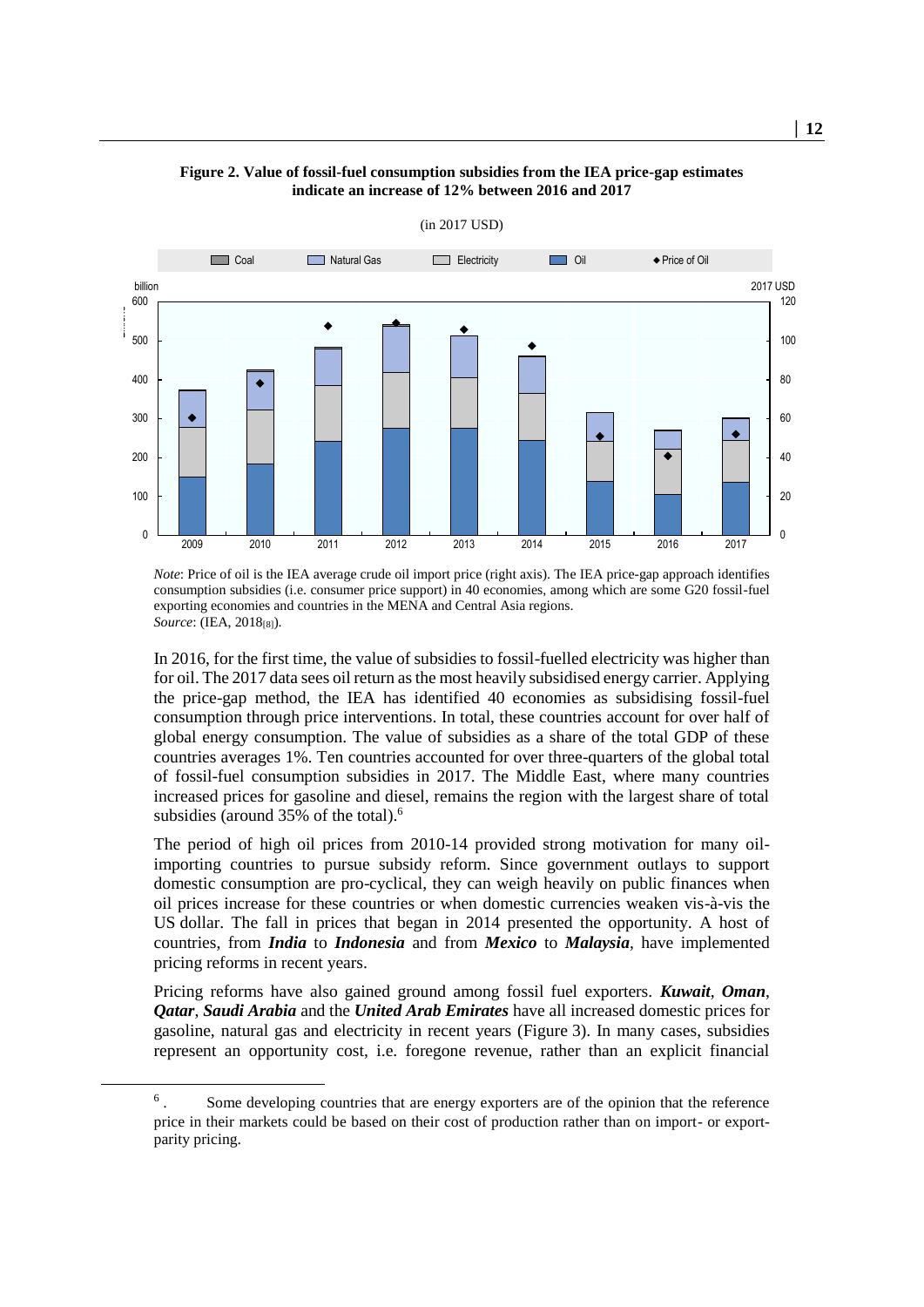<span id="page-11-0"></span>

#### **Figure 2. Value of fossil-fuel consumption subsidies from the IEA price-gap estimates indicate an increase of 12% between 2016 and 2017**

(in 2017 USD)

*Note*: Price of oil is the IEA average crude oil import price (right axis). The IEA price-gap approach identifies consumption subsidies (i.e. consumer price support) in 40 economies, among which are some G20 fossil-fuel exporting economies and countries in the MENA and Central Asia regions. *Source*: (IEA, 2018[8]).

In 2016, for the first time, the value of subsidies to fossil-fuelled electricity was higher than for oil. The 2017 data sees oil return as the most heavily subsidised energy carrier. Applying the price-gap method, the IEA has identified 40 economies as subsidising fossil-fuel consumption through price interventions. In total, these countries account for over half of global energy consumption. The value of subsidies as a share of the total GDP of these countries averages 1%. Ten countries accounted for over three-quarters of the global total of fossil-fuel consumption subsidies in 2017. The Middle East, where many countries increased prices for gasoline and diesel, remains the region with the largest share of total subsidies (around 35% of the total).<sup>6</sup>

The period of high oil prices from 2010-14 provided strong motivation for many oilimporting countries to pursue subsidy reform. Since government outlays to support domestic consumption are pro-cyclical, they can weigh heavily on public finances when oil prices increase for these countries or when domestic currencies weaken vis-à-vis the US dollar. The fall in prices that began in 2014 presented the opportunity. A host of countries, from *India* to *Indonesia* and from *Mexico* to *Malaysia*, have implemented pricing reforms in recent years.

Pricing reforms have also gained ground among fossil fuel exporters. *Kuwait*, *Oman*, *Qatar*, *Saudi Arabia* and the *United Arab Emirates* have all increased domestic prices for gasoline, natural gas and electricity in recent years [\(Figure](#page-12-0) 3). In many cases, subsidies represent an opportunity cost, i.e. foregone revenue, rather than an explicit financial

<sup>6</sup> . Some developing countries that are energy exporters are of the opinion that the reference price in their markets could be based on their cost of production rather than on import- or exportparity pricing.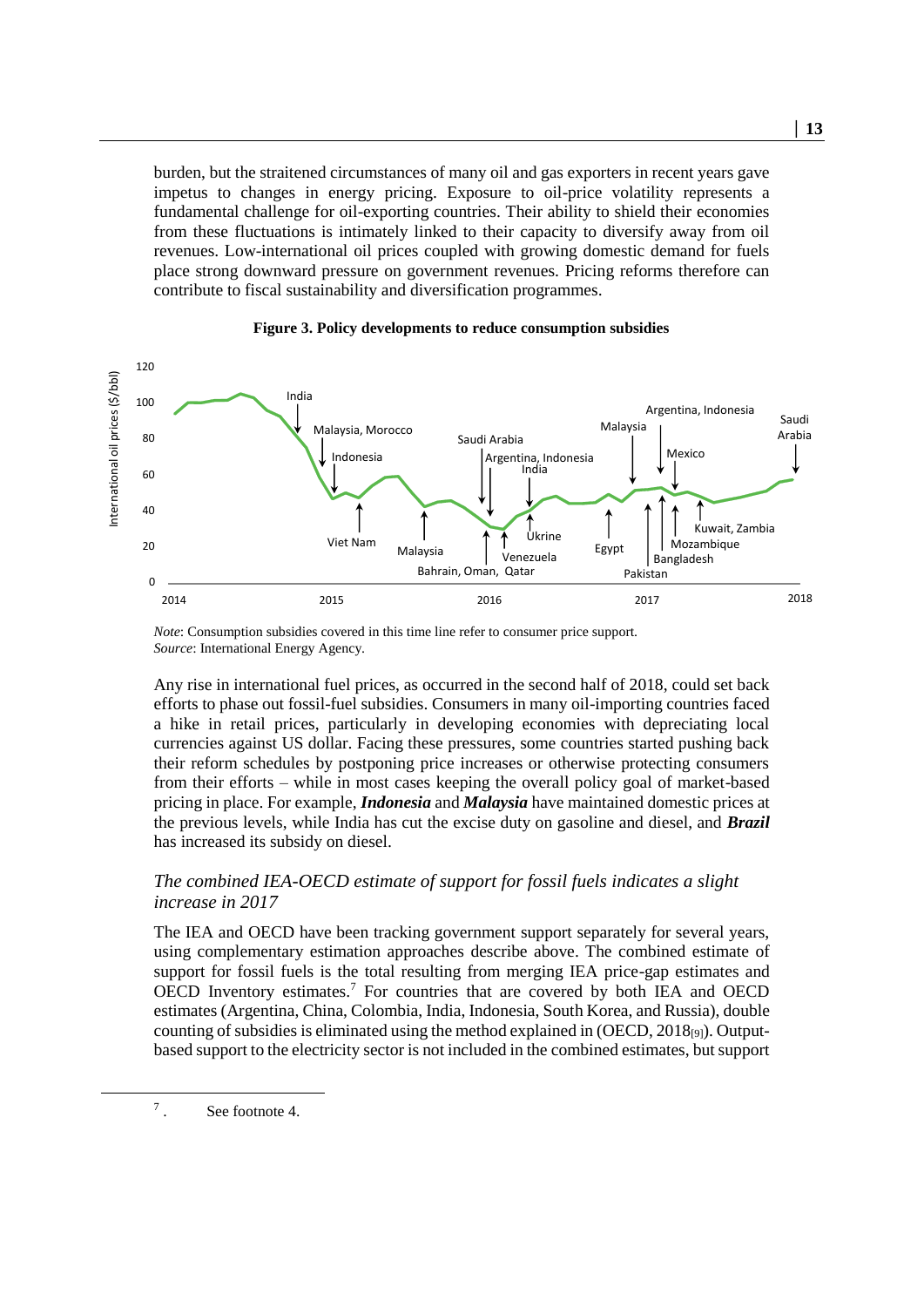burden, but the straitened circumstances of many oil and gas exporters in recent years gave impetus to changes in energy pricing. Exposure to oil-price volatility represents a fundamental challenge for oil-exporting countries. Their ability to shield their economies from these fluctuations is intimately linked to their capacity to diversify away from oil revenues. Low-international oil prices coupled with growing domestic demand for fuels place strong downward pressure on government revenues. Pricing reforms therefore can contribute to fiscal sustainability and diversification programmes.

<span id="page-12-0"></span>

#### **Figure 3. Policy developments to reduce consumption subsidies**

*Note*: Consumption subsidies covered in this time line refer to consumer price support. *Source*: International Energy Agency.

Any rise in international fuel prices, as occurred in the second half of 2018, could set back efforts to phase out fossil-fuel subsidies. Consumers in many oil-importing countries faced a hike in retail prices, particularly in developing economies with depreciating local currencies against US dollar. Facing these pressures, some countries started pushing back their reform schedules by postponing price increases or otherwise protecting consumers from their efforts – while in most cases keeping the overall policy goal of market-based pricing in place. For example, *Indonesia* and *Malaysia* have maintained domestic prices at the previous levels, while India has cut the excise duty on gasoline and diesel, and *Brazil* has increased its subsidy on diesel.

#### *The combined IEA-OECD estimate of support for fossil fuels indicates a slight increase in 2017*

The IEA and OECD have been tracking government support separately for several years, using complementary estimation approaches describe above. The combined estimate of support for fossil fuels is the total resulting from merging IEA price-gap estimates and OECD Inventory estimates.<sup>7</sup> For countries that are covered by both IEA and OECD estimates (Argentina, China, Colombia, India, Indonesia, South Korea, and Russia), double counting of subsidies is eliminated using the method explained in  $(OECD, 2018<sub>[9]</sub>)$ . Outputbased support to the electricity sector is not included in the combined estimates, but support

7 See footnote [4.](#page-10-0)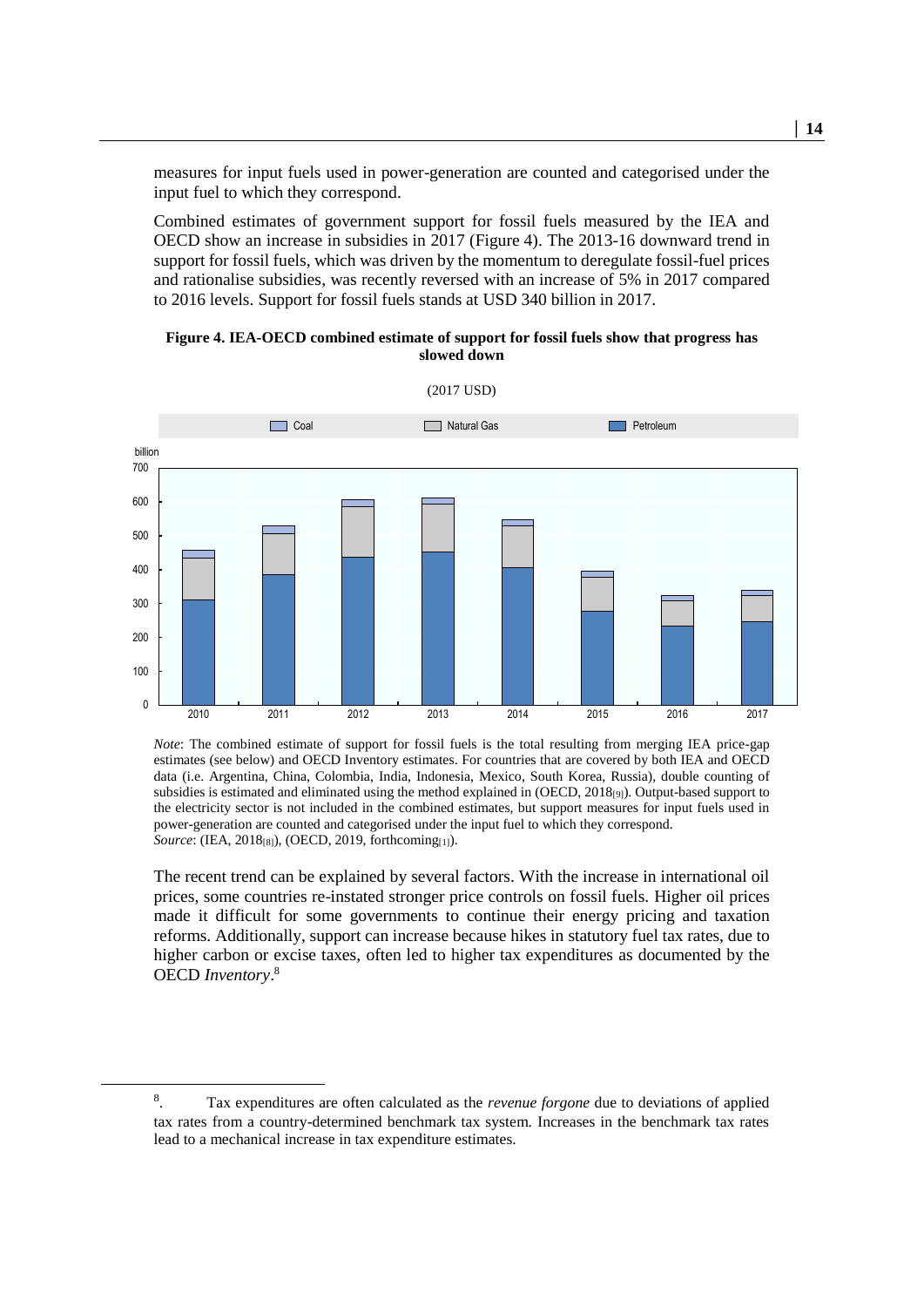measures for input fuels used in power-generation are counted and categorised under the input fuel to which they correspond.

Combined estimates of government support for fossil fuels measured by the IEA and OECD show an increase in subsidies in 2017 [\(Figure](#page-13-0) 4). The 2013-16 downward trend in support for fossil fuels, which was driven by the momentum to deregulate fossil-fuel prices and rationalise subsidies, was recently reversed with an increase of 5% in 2017 compared to 2016 levels. Support for fossil fuels stands at USD 340 billion in 2017.

**Figure 4. IEA-OECD combined estimate of support for fossil fuels show that progress has slowed down** 

<span id="page-13-0"></span>

*Note*: The combined estimate of support for fossil fuels is the total resulting from merging IEA price-gap estimates (see below) and OECD Inventory estimates. For countries that are covered by both IEA and OECD data (i.e. Argentina, China, Colombia, India, Indonesia, Mexico, South Korea, Russia), double counting of subsidies is estimated and eliminated using the method explained in (OECD, 2018[9]). Output-based support to the electricity sector is not included in the combined estimates, but support measures for input fuels used in power-generation are counted and categorised under the input fuel to which they correspond. *Source*: (IEA, 2018[8]), (OECD, 2019, forthcoming[1]).

The recent trend can be explained by several factors. With the increase in international oil prices, some countries re-instated stronger price controls on fossil fuels. Higher oil prices made it difficult for some governments to continue their energy pricing and taxation reforms. Additionally, support can increase because hikes in statutory fuel tax rates, due to higher carbon or excise taxes, often led to higher tax expenditures as documented by the OECD *Inventory*. 8

<sup>8</sup> . Tax expenditures are often calculated as the *revenue forgone* due to deviations of applied tax rates from a country-determined benchmark tax system. Increases in the benchmark tax rates lead to a mechanical increase in tax expenditure estimates.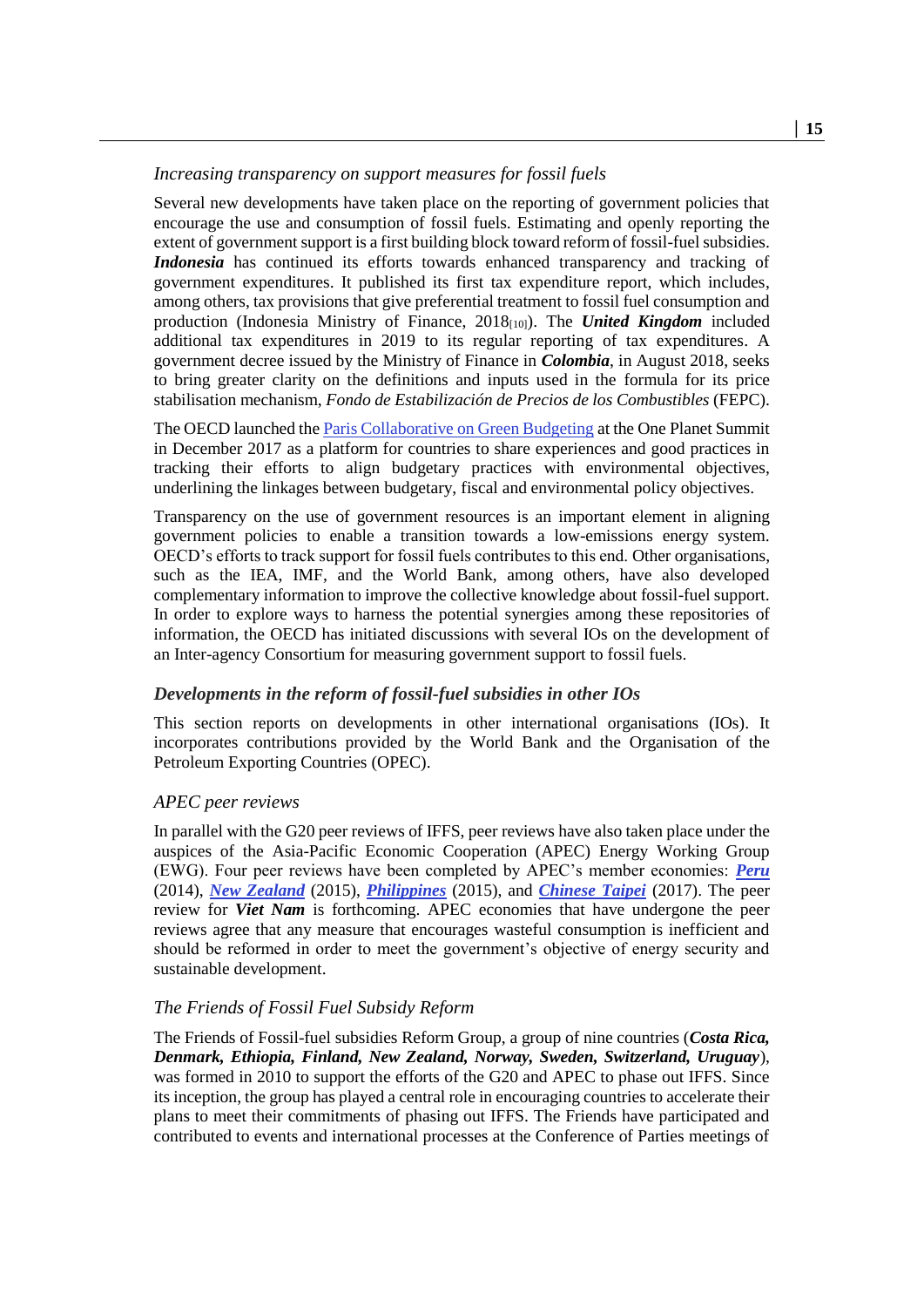#### *Increasing transparency on support measures for fossil fuels*

Several new developments have taken place on the reporting of government policies that encourage the use and consumption of fossil fuels. Estimating and openly reporting the extent of government support is a first building block toward reform of fossil-fuel subsidies. *Indonesia* has continued its efforts towards enhanced transparency and tracking of government expenditures. It published its first tax expenditure report, which includes, among others, tax provisions that give preferential treatment to fossil fuel consumption and production (Indonesia Ministry of Finance, 2018[10]). The *United Kingdom* included additional tax expenditures in 2019 to its regular reporting of tax expenditures. A government decree issued by the Ministry of Finance in *Colombia*, in August 2018, seeks to bring greater clarity on the definitions and inputs used in the formula for its price stabilisation mechanism, *Fondo de Estabilización de Precios de los Combustibles* (FEPC).

The OECD launched th[e Paris Collaborative on Green Budgeting](http://www.oecd.org/gov/budgeting/paris-collaborative-on-green-budgeting-hlfp-side-event-july-2018.htm) at the One Planet Summit in December 2017 as a platform for countries to share experiences and good practices in tracking their efforts to align budgetary practices with environmental objectives, underlining the linkages between budgetary, fiscal and environmental policy objectives.

Transparency on the use of government resources is an important element in aligning government policies to enable a transition towards a low-emissions energy system. OECD's efforts to track support for fossil fuels contributes to this end. Other organisations, such as the IEA, IMF, and the World Bank, among others, have also developed complementary information to improve the collective knowledge about fossil-fuel support. In order to explore ways to harness the potential synergies among these repositories of information, the OECD has initiated discussions with several IOs on the development of an Inter-agency Consortium for measuring government support to fossil fuels.

#### <span id="page-14-0"></span>*Developments in the reform of fossil-fuel subsidies in other IOs*

This section reports on developments in other international organisations (IOs). It incorporates contributions provided by the World Bank and the Organisation of the Petroleum Exporting Countries (OPEC).

#### *APEC peer reviews*

In parallel with the G20 peer reviews of IFFS, peer reviews have also taken place under the auspices of the Asia-Pacific Economic Cooperation (APEC) Energy Working Group (EWG). Four peer reviews have been completed by APEC's member economies: *[Peru](https://www.ewg.apec.org/documents/Peru__peer_review_of_fossil_fuel_subsidy_reforms_Nov102014_FINAL.pdf)* (2014), *[New Zealand](https://www.mbie.govt.nz/assets/7250f5135f/peer-review-fossil-fuel-subsidy-reforms-nz.pdf)* (2015), *[Philippines](https://www.slideshare.net/andreweil/apec-ffsr-peer-review-report-philippines-july-2016-final71416)* (2015), and *[Chinese Taipei](https://www.apec.org/Publications/2017/07/Peer-Review-on-Fossil-Fuel-Subsidy-Reforms-in-Chinese-Taipei)* (2017). The peer review for *Viet Nam* is forthcoming. APEC economies that have undergone the peer reviews agree that any measure that encourages wasteful consumption is inefficient and should be reformed in order to meet the government's objective of energy security and sustainable development.

#### *The Friends of Fossil Fuel Subsidy Reform*

The Friends of Fossil-fuel subsidies Reform Group, a group of nine countries (*Costa Rica, Denmark, Ethiopia, Finland, New Zealand, Norway, Sweden, Switzerland, Uruguay*), was formed in 2010 to support the efforts of the G20 and APEC to phase out IFFS. Since its inception, the group has played a central role in encouraging countries to accelerate their plans to meet their commitments of phasing out IFFS. The Friends have participated and contributed to events and international processes at the Conference of Parties meetings of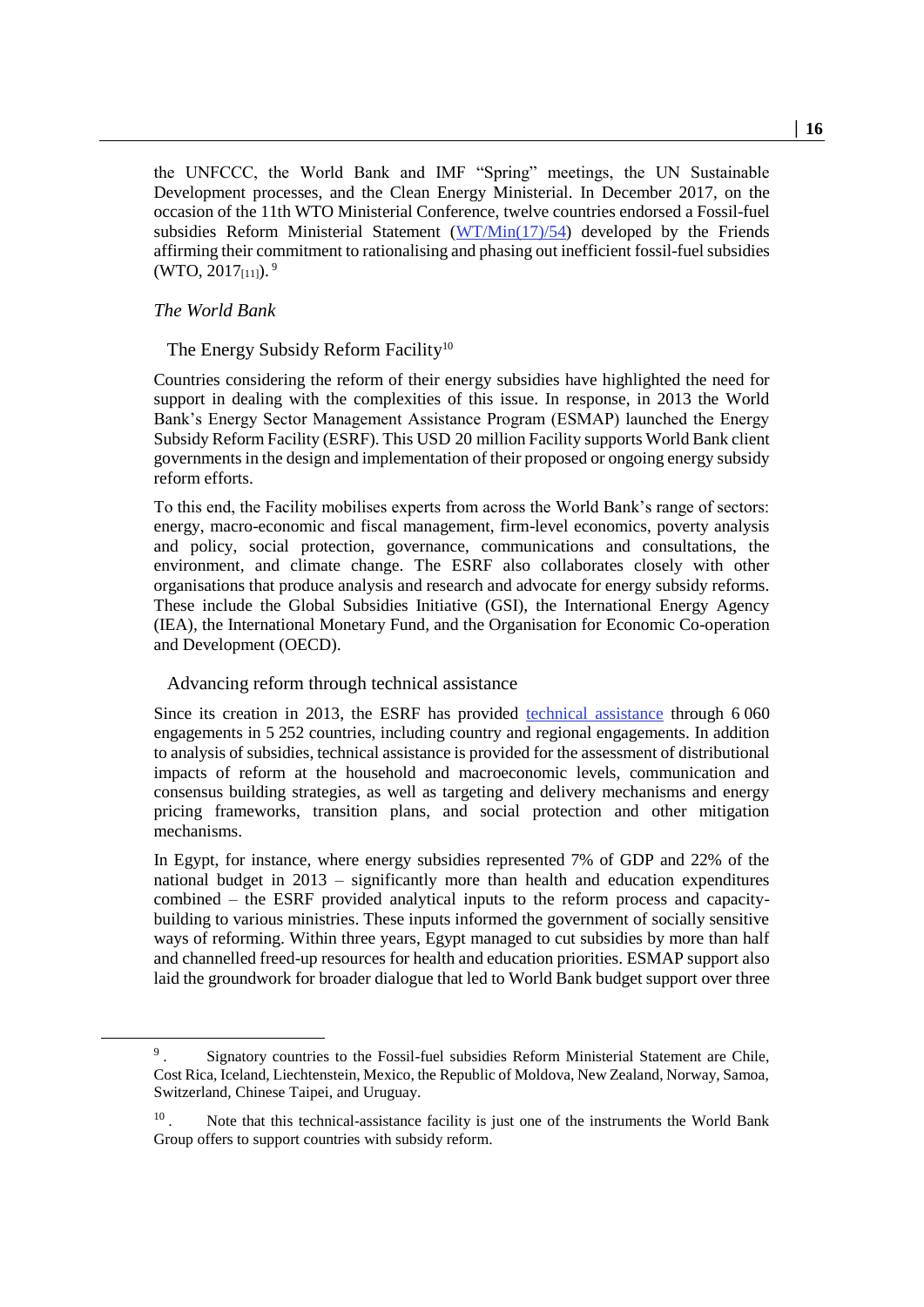the UNFCCC, the World Bank and IMF "Spring" meetings, the UN Sustainable Development processes, and the Clean Energy Ministerial. In December 2017, on the occasion of the 11th WTO Ministerial Conference, twelve countries endorsed a Fossil-fuel subsidies Reform Ministerial Statement  $(WT/Min(17)/54)$  developed by the Friends affirming their commitment to rationalising and phasing out inefficient fossil-fuel subsidies (WTO, 2017<sub>[11]</sub>).<sup>9</sup>

#### *The World Bank*

The Energy Subsidy Reform Facility<sup>10</sup>

Countries considering the reform of their energy subsidies have highlighted the need for support in dealing with the complexities of this issue. In response, in 2013 the World Bank's Energy Sector Management Assistance Program (ESMAP) launched the Energy Subsidy Reform Facility (ESRF). This USD 20 million Facility supports World Bank client governments in the design and implementation of their proposed or ongoing energy subsidy reform efforts.

To this end, the Facility mobilises experts from across the World Bank's range of sectors: energy, macro-economic and fiscal management, firm-level economics, poverty analysis and policy, social protection, governance, communications and consultations, the environment, and climate change. The ESRF also collaborates closely with other organisations that produce analysis and research and advocate for energy subsidy reforms. These include the Global Subsidies Initiative (GSI), the International Energy Agency (IEA), the International Monetary Fund, and the Organisation for Economic Co-operation and Development (OECD).

#### Advancing reform through technical assistance

Since its creation in 2013, the ESRF has provided [technical assistance](http://www.esmap.org/node/71197) through 6 060 engagements in 5 252 countries, including country and regional engagements. In addition to analysis of subsidies, technical assistance is provided for the assessment of distributional impacts of reform at the household and macroeconomic levels, communication and consensus building strategies, as well as targeting and delivery mechanisms and energy pricing frameworks, transition plans, and social protection and other mitigation mechanisms.

In Egypt, for instance, where energy subsidies represented 7% of GDP and 22% of the national budget in 2013 – significantly more than health and education expenditures combined – the ESRF provided analytical inputs to the reform process and capacitybuilding to various ministries. These inputs informed the government of socially sensitive ways of reforming. Within three years, Egypt managed to cut subsidies by more than half and channelled freed-up resources for health and education priorities. ESMAP support also laid the groundwork for broader dialogue that led to World Bank budget support over three

<sup>9</sup> . Signatory countries to the Fossil-fuel subsidies Reform Ministerial Statement are Chile, Cost Rica, Iceland, Liechtenstein, Mexico, the Republic of Moldova, New Zealand, Norway, Samoa, Switzerland, Chinese Taipei, and Uruguay.

<sup>10</sup> . Note that this technical-assistance facility is just one of the instruments the World Bank Group offers to support countries with subsidy reform.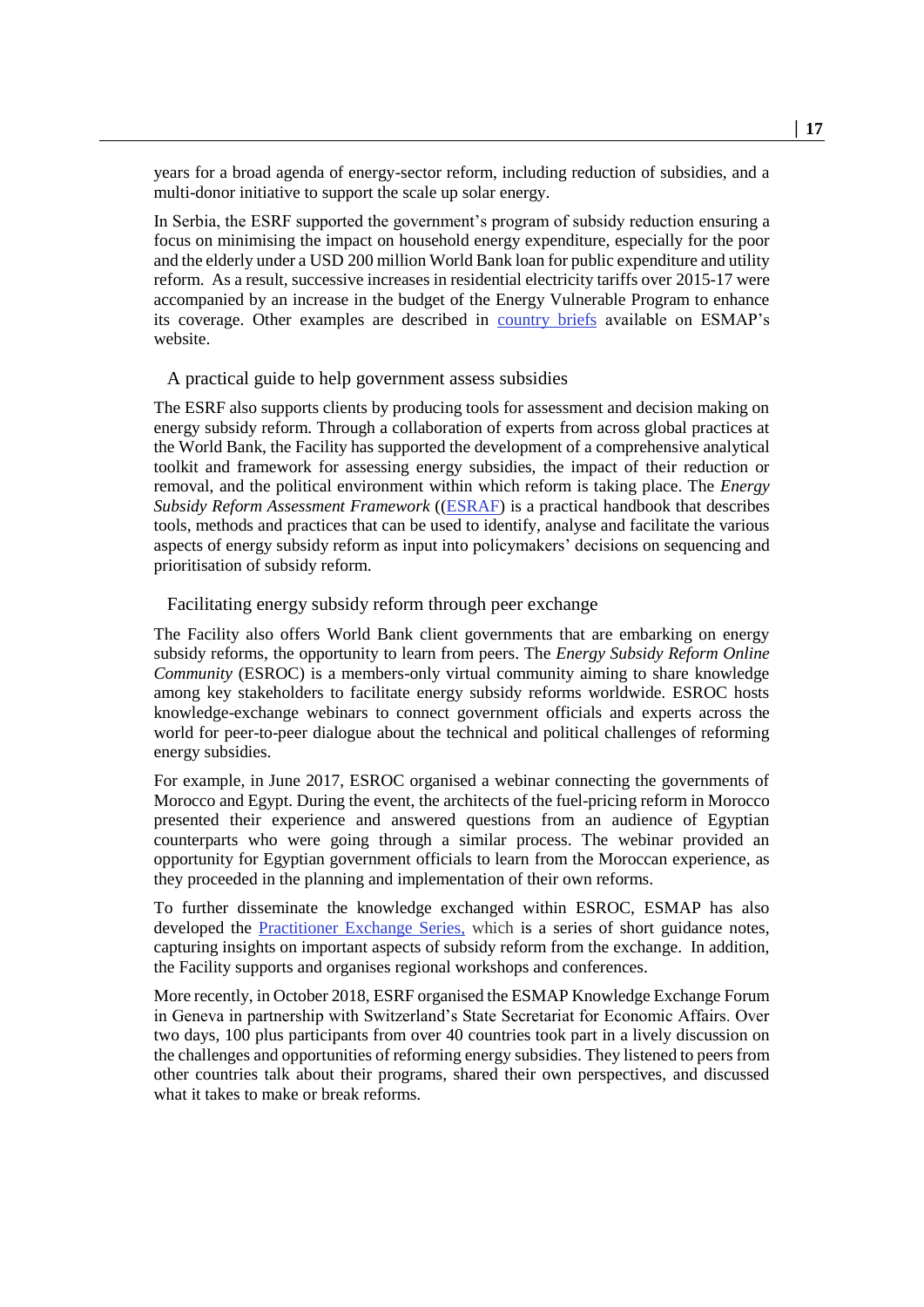years for a broad agenda of energy-sector reform, including reduction of subsidies, and a multi-donor initiative to support the scale up solar energy.

In Serbia, the ESRF supported the government's program of subsidy reduction ensuring a focus on minimising the impact on household energy expenditure, especially for the poor and the elderly under a USD 200 million World Bank loan for public expenditure and utility reform. As a result, successive increases in residential electricity tariffs over 2015-17 were accompanied by an increase in the budget of the Energy Vulnerable Program to enhance its coverage. Other examples are described in [country briefs](https://www.esmap.org/node/71197) available on ESMAP's website.

#### A practical guide to help government assess subsidies

The ESRF also supports clients by producing tools for assessment and decision making on energy subsidy reform. Through a collaboration of experts from across global practices at the World Bank, the Facility has supported the development of a comprehensive analytical toolkit and framework for assessing energy subsidies, the impact of their reduction or removal, and the political environment within which reform is taking place. The *Energy Subsidy Reform Assessment Framework* ([\(ESRAF\)](http://www.esmap.org/esraf) is a practical handbook that describes tools, methods and practices that can be used to identify, analyse and facilitate the various aspects of energy subsidy reform as input into policymakers' decisions on sequencing and prioritisation of subsidy reform.

#### Facilitating energy subsidy reform through peer exchange

The Facility also offers World Bank client governments that are embarking on energy subsidy reforms, the opportunity to learn from peers. The *Energy Subsidy Reform Online Community* (ESROC) is a members-only virtual community aiming to share knowledge among key stakeholders to facilitate energy subsidy reforms worldwide. ESROC hosts knowledge-exchange webinars to connect government officials and experts across the world for peer-to-peer dialogue about the technical and political challenges of reforming energy subsidies.

For example, in June 2017, ESROC organised a webinar connecting the governments of Morocco and Egypt. During the event, the architects of the fuel-pricing reform in Morocco presented their experience and answered questions from an audience of Egyptian counterparts who were going through a similar process. The webinar provided an opportunity for Egyptian government officials to learn from the Moroccan experience, as they proceeded in the planning and implementation of their own reforms.

To further disseminate the knowledge exchanged within ESROC, ESMAP has also developed the Practitioner [Exchange Series,](http://www.esmap.org/node/57702) which is a series of short guidance notes, capturing insights on important aspects of subsidy reform from the exchange. In addition, the Facility supports and organises regional workshops and conferences.

More recently, in October 2018, ESRF organised the ESMAP Knowledge Exchange Forum in Geneva in partnership with Switzerland's State Secretariat for Economic Affairs. Over two days, 100 plus participants from over 40 countries took part in a lively discussion on the challenges and opportunities of reforming energy subsidies. They listened to peers from other countries talk about their programs, shared their own perspectives, and discussed what it takes to make or break reforms.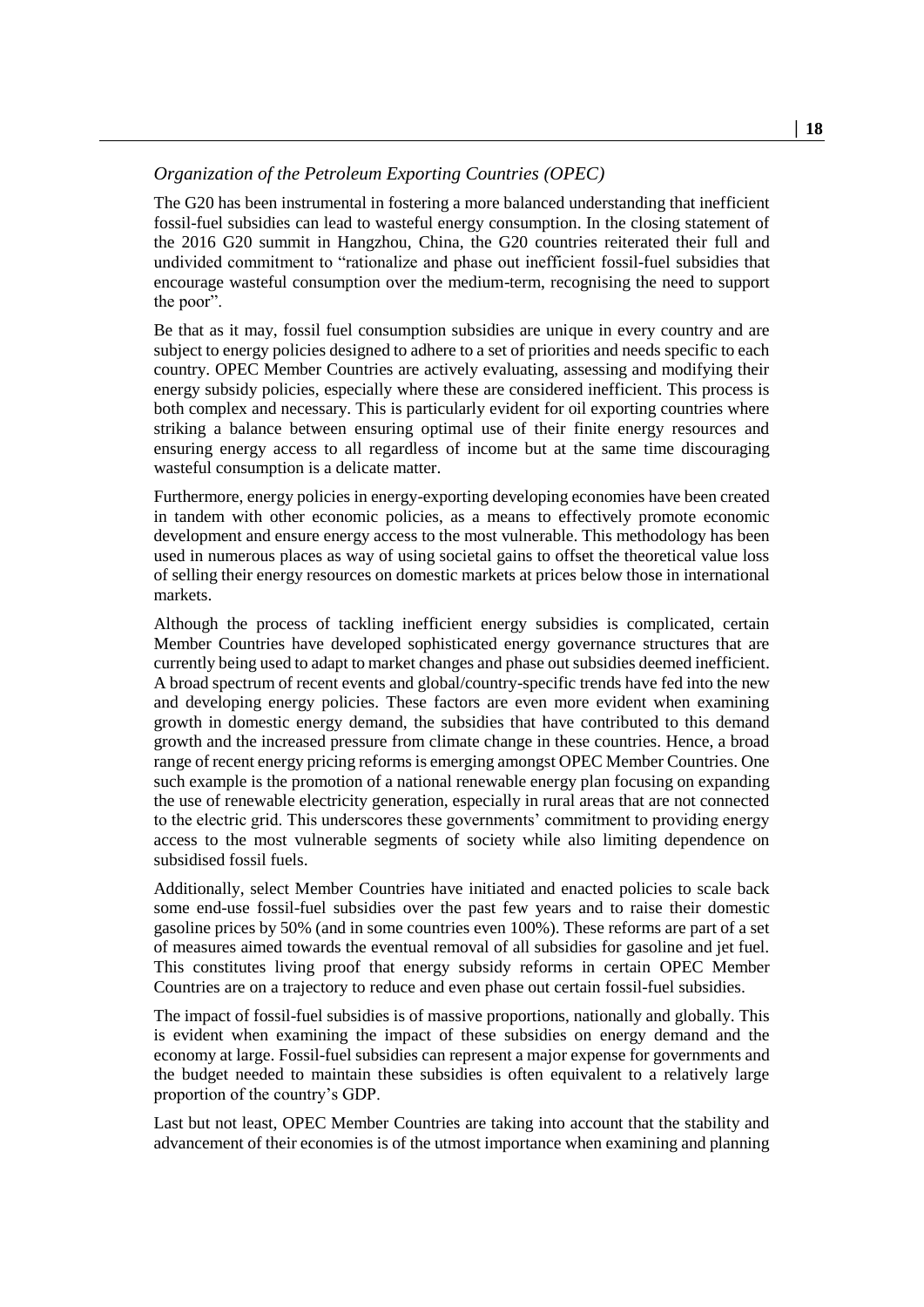#### *Organization of the Petroleum Exporting Countries (OPEC)*

The G20 has been instrumental in fostering a more balanced understanding that inefficient fossil-fuel subsidies can lead to wasteful energy consumption. In the closing statement of the 2016 G20 summit in Hangzhou, China, the G20 countries reiterated their full and undivided commitment to "rationalize and phase out inefficient fossil-fuel subsidies that encourage wasteful consumption over the medium-term, recognising the need to support the poor".

Be that as it may, fossil fuel consumption subsidies are unique in every country and are subject to energy policies designed to adhere to a set of priorities and needs specific to each country. OPEC Member Countries are actively evaluating, assessing and modifying their energy subsidy policies, especially where these are considered inefficient. This process is both complex and necessary. This is particularly evident for oil exporting countries where striking a balance between ensuring optimal use of their finite energy resources and ensuring energy access to all regardless of income but at the same time discouraging wasteful consumption is a delicate matter.

Furthermore, energy policies in energy-exporting developing economies have been created in tandem with other economic policies, as a means to effectively promote economic development and ensure energy access to the most vulnerable. This methodology has been used in numerous places as way of using societal gains to offset the theoretical value loss of selling their energy resources on domestic markets at prices below those in international markets.

Although the process of tackling inefficient energy subsidies is complicated, certain Member Countries have developed sophisticated energy governance structures that are currently being used to adapt to market changes and phase out subsidies deemed inefficient. A broad spectrum of recent events and global/country-specific trends have fed into the new and developing energy policies. These factors are even more evident when examining growth in domestic energy demand, the subsidies that have contributed to this demand growth and the increased pressure from climate change in these countries. Hence, a broad range of recent energy pricing reforms is emerging amongst OPEC Member Countries. One such example is the promotion of a national renewable energy plan focusing on expanding the use of renewable electricity generation, especially in rural areas that are not connected to the electric grid. This underscores these governments' commitment to providing energy access to the most vulnerable segments of society while also limiting dependence on subsidised fossil fuels.

Additionally, select Member Countries have initiated and enacted policies to scale back some end-use fossil-fuel subsidies over the past few years and to raise their domestic gasoline prices by 50% (and in some countries even 100%). These reforms are part of a set of measures aimed towards the eventual removal of all subsidies for gasoline and jet fuel. This constitutes living proof that energy subsidy reforms in certain OPEC Member Countries are on a trajectory to reduce and even phase out certain fossil-fuel subsidies.

The impact of fossil-fuel subsidies is of massive proportions, nationally and globally. This is evident when examining the impact of these subsidies on energy demand and the economy at large. Fossil-fuel subsidies can represent a major expense for governments and the budget needed to maintain these subsidies is often equivalent to a relatively large proportion of the country's GDP.

Last but not least, OPEC Member Countries are taking into account that the stability and advancement of their economies is of the utmost importance when examining and planning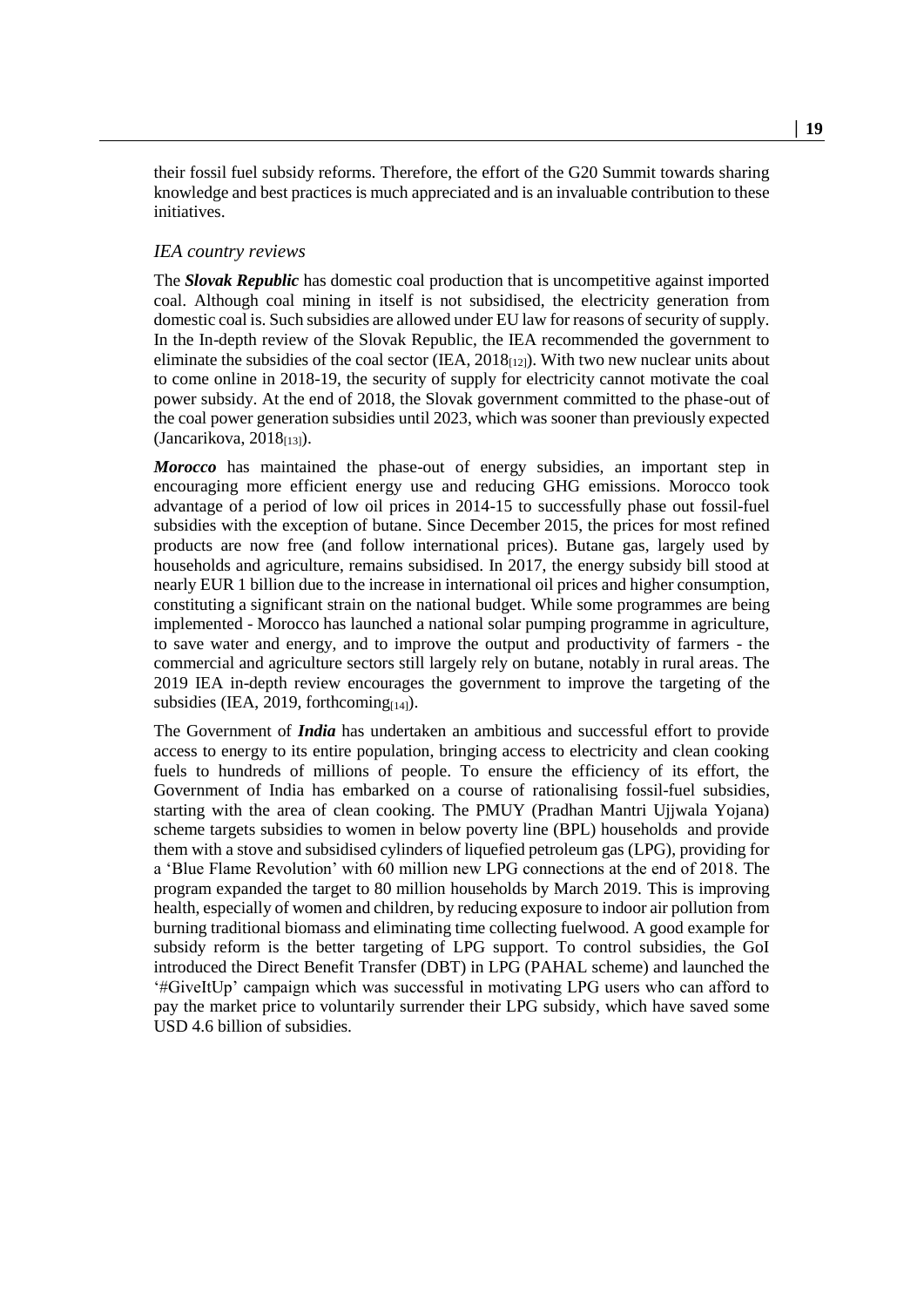their fossil fuel subsidy reforms. Therefore, the effort of the G20 Summit towards sharing knowledge and best practices is much appreciated and is an invaluable contribution to these initiatives.

#### *IEA country reviews*

The *Slovak Republic* has domestic coal production that is uncompetitive against imported coal. Although coal mining in itself is not subsidised, the electricity generation from domestic coal is. Such subsidies are allowed under EU law for reasons of security of supply. In the In-depth review of the Slovak Republic, the IEA recommended the government to eliminate the subsidies of the coal sector (IEA,  $2018_{[12]}$ ). With two new nuclear units about to come online in 2018-19, the security of supply for electricity cannot motivate the coal power subsidy. At the end of 2018, the Slovak government committed to the phase-out of the coal power generation subsidies until 2023, which was sooner than previously expected  $(Jancarikova, 2018<sub>[13]</sub>).$ 

*Morocco* has maintained the phase-out of energy subsidies, an important step in encouraging more efficient energy use and reducing GHG emissions. Morocco took advantage of a period of low oil prices in 2014-15 to successfully phase out fossil-fuel subsidies with the exception of butane. Since December 2015, the prices for most refined products are now free (and follow international prices). Butane gas, largely used by households and agriculture, remains subsidised. In 2017, the energy subsidy bill stood at nearly EUR 1 billion due to the increase in international oil prices and higher consumption, constituting a significant strain on the national budget. While some programmes are being implemented - Morocco has launched a national solar pumping programme in agriculture, to save water and energy, and to improve the output and productivity of farmers - the commercial and agriculture sectors still largely rely on butane, notably in rural areas. The 2019 IEA in-depth review encourages the government to improve the targeting of the subsidies (IEA, 2019, forthcoming $_{[14]}$ ).

The Government of *India* has undertaken an ambitious and successful effort to provide access to energy to its entire population, bringing access to electricity and clean cooking fuels to hundreds of millions of people. To ensure the efficiency of its effort, the Government of India has embarked on a course of rationalising fossil-fuel subsidies, starting with the area of clean cooking. The PMUY (Pradhan Mantri Ujjwala Yojana) scheme targets subsidies to women in below poverty line (BPL) households and provide them with a stove and subsidised cylinders of liquefied petroleum gas (LPG), providing for a 'Blue Flame Revolution' with 60 million new LPG connections at the end of 2018. The program expanded the target to 80 million households by March 2019. This is improving health, especially of women and children, by reducing exposure to indoor air pollution from burning traditional biomass and eliminating time collecting fuelwood. A good example for subsidy reform is the better targeting of LPG support. To control subsidies, the GoI introduced the Direct Benefit Transfer (DBT) in LPG (PAHAL scheme) and launched the '#GiveItUp' campaign which was successful in motivating LPG users who can afford to pay the market price to voluntarily surrender their LPG subsidy, which have saved some USD 4.6 billion of subsidies.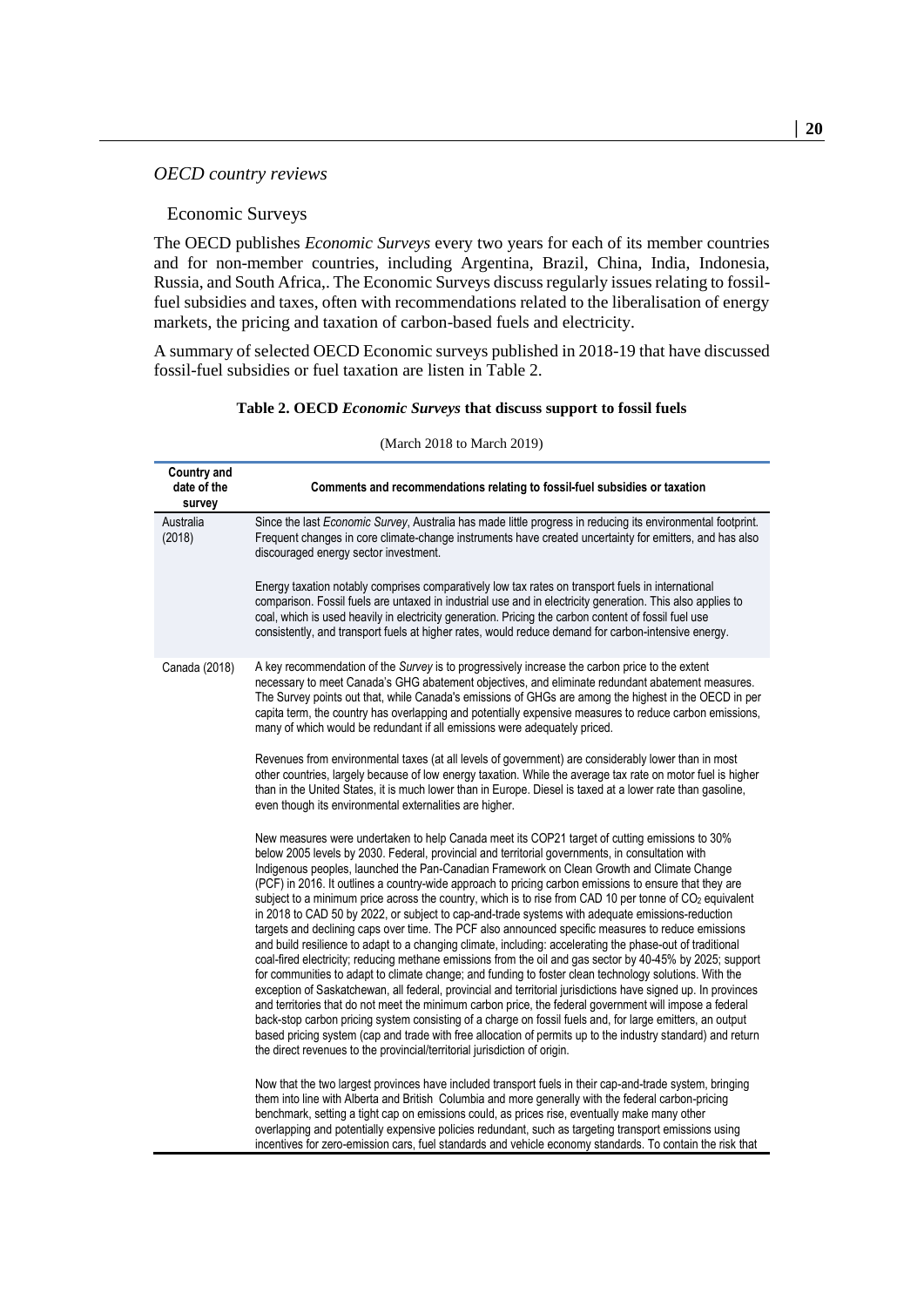#### *OECD country reviews*

#### Economic Surveys

The OECD publishes *Economic Surveys* every two years for each of its member countries and for non-member countries, including Argentina, Brazil, China, India, Indonesia, Russia, and South Africa,. The Economic Surveys discuss regularly issues relating to fossilfuel subsidies and taxes, often with recommendations related to the liberalisation of energy markets, the pricing and taxation of carbon-based fuels and electricity.

<span id="page-19-0"></span>A summary of selected OECD Economic surveys published in 2018-19 that have discussed fossil-fuel subsidies or fuel taxation are listen in [Table](#page-19-0) 2.

#### **Table 2. OECD** *Economic Surveys* **that discuss support to fossil fuels**

| <b>Country and</b><br>date of the<br>survey | Comments and recommendations relating to fossil-fuel subsidies or taxation                                                                                                                                                                                                                                                                                                                                                                                                                                                                                                                                                                                                                                                                                                                                                                                                                                                                                                                                                                                                                                                                                                                                                                                                                                                                                                                                                                                                                                                                                                                                          |
|---------------------------------------------|---------------------------------------------------------------------------------------------------------------------------------------------------------------------------------------------------------------------------------------------------------------------------------------------------------------------------------------------------------------------------------------------------------------------------------------------------------------------------------------------------------------------------------------------------------------------------------------------------------------------------------------------------------------------------------------------------------------------------------------------------------------------------------------------------------------------------------------------------------------------------------------------------------------------------------------------------------------------------------------------------------------------------------------------------------------------------------------------------------------------------------------------------------------------------------------------------------------------------------------------------------------------------------------------------------------------------------------------------------------------------------------------------------------------------------------------------------------------------------------------------------------------------------------------------------------------------------------------------------------------|
| Australia<br>(2018)                         | Since the last Economic Survey, Australia has made little progress in reducing its environmental footprint.<br>Frequent changes in core climate-change instruments have created uncertainty for emitters, and has also<br>discouraged energy sector investment.                                                                                                                                                                                                                                                                                                                                                                                                                                                                                                                                                                                                                                                                                                                                                                                                                                                                                                                                                                                                                                                                                                                                                                                                                                                                                                                                                     |
|                                             | Energy taxation notably comprises comparatively low tax rates on transport fuels in international<br>comparison. Fossil fuels are untaxed in industrial use and in electricity generation. This also applies to<br>coal, which is used heavily in electricity generation. Pricing the carbon content of fossil fuel use<br>consistently, and transport fuels at higher rates, would reduce demand for carbon-intensive energy.                                                                                                                                                                                                                                                                                                                                                                                                                                                                                                                                                                                                                                                                                                                                                                                                                                                                                                                                                                                                                                                                                                                                                                                      |
| Canada (2018)                               | A key recommendation of the Survey is to progressively increase the carbon price to the extent<br>necessary to meet Canada's GHG abatement objectives, and eliminate redundant abatement measures.<br>The Survey points out that, while Canada's emissions of GHGs are among the highest in the OECD in per<br>capita term, the country has overlapping and potentially expensive measures to reduce carbon emissions,<br>many of which would be redundant if all emissions were adequately priced.                                                                                                                                                                                                                                                                                                                                                                                                                                                                                                                                                                                                                                                                                                                                                                                                                                                                                                                                                                                                                                                                                                                 |
|                                             | Revenues from environmental taxes (at all levels of government) are considerably lower than in most<br>other countries, largely because of low energy taxation. While the average tax rate on motor fuel is higher<br>than in the United States, it is much lower than in Europe. Diesel is taxed at a lower rate than gasoline,<br>even though its environmental externalities are higher.                                                                                                                                                                                                                                                                                                                                                                                                                                                                                                                                                                                                                                                                                                                                                                                                                                                                                                                                                                                                                                                                                                                                                                                                                         |
|                                             | New measures were undertaken to help Canada meet its COP21 target of cutting emissions to 30%<br>below 2005 levels by 2030. Federal, provincial and territorial governments, in consultation with<br>Indigenous peoples, launched the Pan-Canadian Framework on Clean Growth and Climate Change<br>(PCF) in 2016. It outlines a country-wide approach to pricing carbon emissions to ensure that they are<br>subject to a minimum price across the country, which is to rise from CAD 10 per tonne of CO <sub>2</sub> equivalent<br>in 2018 to CAD 50 by 2022, or subject to cap-and-trade systems with adequate emissions-reduction<br>targets and declining caps over time. The PCF also announced specific measures to reduce emissions<br>and build resilience to adapt to a changing climate, including: accelerating the phase-out of traditional<br>coal-fired electricity; reducing methane emissions from the oil and gas sector by 40-45% by 2025; support<br>for communities to adapt to climate change; and funding to foster clean technology solutions. With the<br>exception of Saskatchewan, all federal, provincial and territorial jurisdictions have signed up. In provinces<br>and territories that do not meet the minimum carbon price, the federal government will impose a federal<br>back-stop carbon pricing system consisting of a charge on fossil fuels and, for large emitters, an output<br>based pricing system (cap and trade with free allocation of permits up to the industry standard) and return<br>the direct revenues to the provincial/territorial jurisdiction of origin. |
|                                             | Now that the two largest provinces have included transport fuels in their cap-and-trade system, bringing<br>them into line with Alberta and British Columbia and more generally with the federal carbon-pricing<br>benchmark, setting a tight cap on emissions could, as prices rise, eventually make many other<br>overlapping and potentially expensive policies redundant, such as targeting transport emissions using<br>incentives for zero-emission cars, fuel standards and vehicle economy standards. To contain the risk that                                                                                                                                                                                                                                                                                                                                                                                                                                                                                                                                                                                                                                                                                                                                                                                                                                                                                                                                                                                                                                                                              |

#### (March 2018 to March 2019)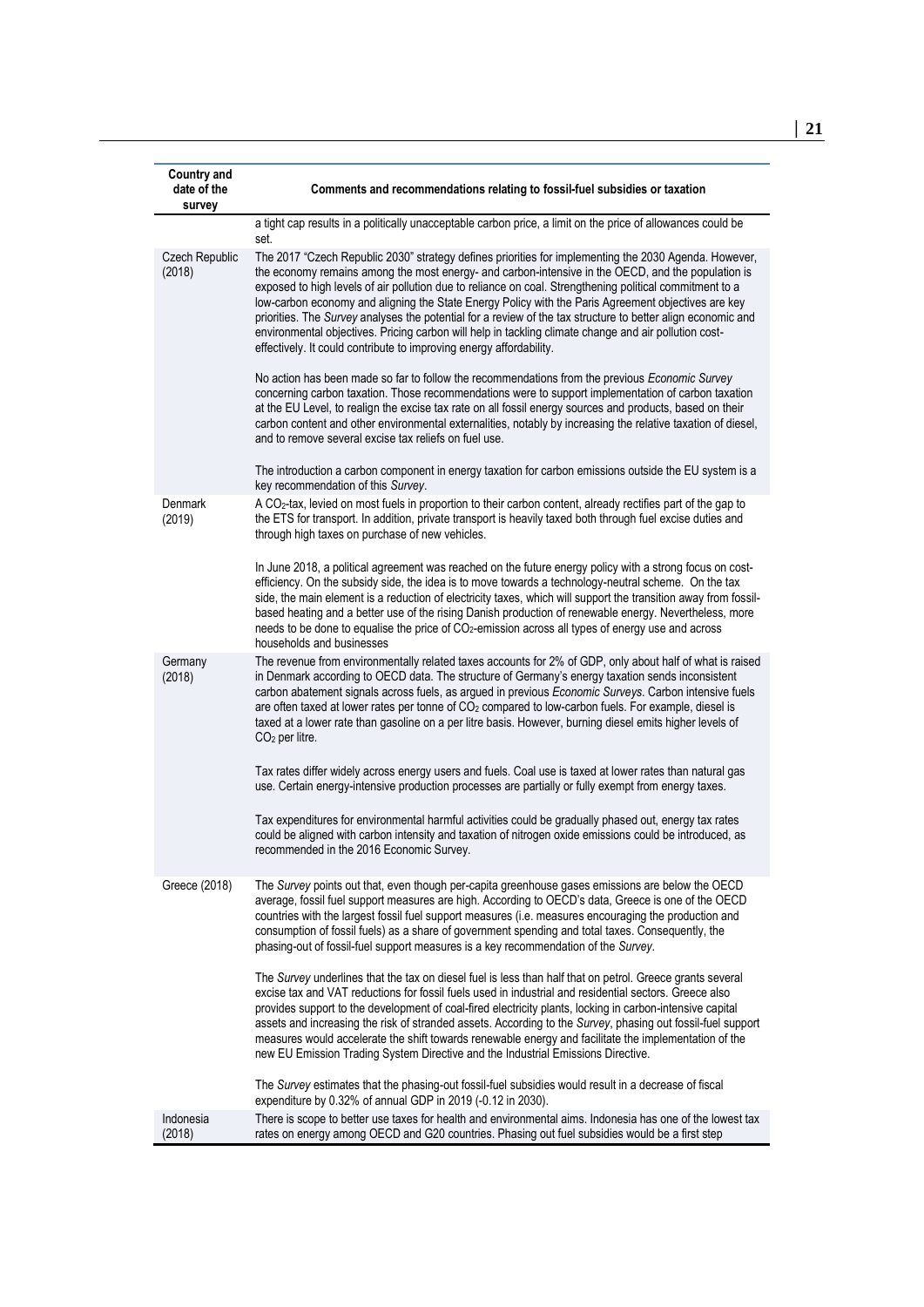| <b>Country and</b><br>date of the<br>survey | Comments and recommendations relating to fossil-fuel subsidies or taxation                                                                                                                                                                                                                                                                                                                                                                                                                                                                                                                                                                                                                                                     |
|---------------------------------------------|--------------------------------------------------------------------------------------------------------------------------------------------------------------------------------------------------------------------------------------------------------------------------------------------------------------------------------------------------------------------------------------------------------------------------------------------------------------------------------------------------------------------------------------------------------------------------------------------------------------------------------------------------------------------------------------------------------------------------------|
|                                             | a tight cap results in a politically unacceptable carbon price, a limit on the price of allowances could be<br>set.                                                                                                                                                                                                                                                                                                                                                                                                                                                                                                                                                                                                            |
| <b>Czech Republic</b><br>(2018)             | The 2017 "Czech Republic 2030" strategy defines priorities for implementing the 2030 Agenda. However,<br>the economy remains among the most energy- and carbon-intensive in the OECD, and the population is<br>exposed to high levels of air pollution due to reliance on coal. Strengthening political commitment to a<br>low-carbon economy and aligning the State Energy Policy with the Paris Agreement objectives are key<br>priorities. The Survey analyses the potential for a review of the tax structure to better align economic and<br>environmental objectives. Pricing carbon will help in tackling climate change and air pollution cost-<br>effectively. It could contribute to improving energy affordability. |
|                                             | No action has been made so far to follow the recommendations from the previous Economic Survey<br>concerning carbon taxation. Those recommendations were to support implementation of carbon taxation<br>at the EU Level, to realign the excise tax rate on all fossil energy sources and products, based on their<br>carbon content and other environmental externalities, notably by increasing the relative taxation of diesel,<br>and to remove several excise tax reliefs on fuel use.                                                                                                                                                                                                                                    |
|                                             | The introduction a carbon component in energy taxation for carbon emissions outside the EU system is a<br>key recommendation of this Survey.                                                                                                                                                                                                                                                                                                                                                                                                                                                                                                                                                                                   |
| Denmark<br>(2019)                           | A CO <sub>2</sub> -tax, levied on most fuels in proportion to their carbon content, already rectifies part of the gap to<br>the ETS for transport. In addition, private transport is heavily taxed both through fuel excise duties and<br>through high taxes on purchase of new vehicles.                                                                                                                                                                                                                                                                                                                                                                                                                                      |
|                                             | In June 2018, a political agreement was reached on the future energy policy with a strong focus on cost-<br>efficiency. On the subsidy side, the idea is to move towards a technology-neutral scheme. On the tax<br>side, the main element is a reduction of electricity taxes, which will support the transition away from fossil-<br>based heating and a better use of the rising Danish production of renewable energy. Nevertheless, more<br>needs to be done to equalise the price of CO <sub>2</sub> -emission across all types of energy use and across<br>households and businesses                                                                                                                                    |
| Germany<br>(2018)                           | The revenue from environmentally related taxes accounts for 2% of GDP, only about half of what is raised<br>in Denmark according to OECD data. The structure of Germany's energy taxation sends inconsistent<br>carbon abatement signals across fuels, as argued in previous Economic Surveys. Carbon intensive fuels<br>are often taxed at lower rates per tonne of CO <sub>2</sub> compared to low-carbon fuels. For example, diesel is<br>taxed at a lower rate than gasoline on a per litre basis. However, burning diesel emits higher levels of<br>$CO2$ per litre.                                                                                                                                                      |
|                                             | Tax rates differ widely across energy users and fuels. Coal use is taxed at lower rates than natural gas<br>use. Certain energy-intensive production processes are partially or fully exempt from energy taxes.                                                                                                                                                                                                                                                                                                                                                                                                                                                                                                                |
|                                             | Tax expenditures for environmental harmful activities could be gradually phased out, energy tax rates<br>could be aligned with carbon intensity and taxation of nitrogen oxide emissions could be introduced, as<br>recommended in the 2016 Economic Survey.                                                                                                                                                                                                                                                                                                                                                                                                                                                                   |
| Greece (2018)                               | The Survey points out that, even though per-capita greenhouse gases emissions are below the OECD<br>average, fossil fuel support measures are high. According to OECD's data, Greece is one of the OECD<br>countries with the largest fossil fuel support measures (i.e. measures encouraging the production and<br>consumption of fossil fuels) as a share of government spending and total taxes. Consequently, the<br>phasing-out of fossil-fuel support measures is a key recommendation of the Survey.                                                                                                                                                                                                                    |
|                                             | The Survey underlines that the tax on diesel fuel is less than half that on petrol. Greece grants several<br>excise tax and VAT reductions for fossil fuels used in industrial and residential sectors. Greece also<br>provides support to the development of coal-fired electricity plants, locking in carbon-intensive capital<br>assets and increasing the risk of stranded assets. According to the Survey, phasing out fossil-fuel support<br>measures would accelerate the shift towards renewable energy and facilitate the implementation of the<br>new EU Emission Trading System Directive and the Industrial Emissions Directive.                                                                                   |
|                                             | The Survey estimates that the phasing-out fossil-fuel subsidies would result in a decrease of fiscal<br>expenditure by 0.32% of annual GDP in 2019 (-0.12 in 2030).                                                                                                                                                                                                                                                                                                                                                                                                                                                                                                                                                            |
| Indonesia<br>(2018)                         | There is scope to better use taxes for health and environmental aims. Indonesia has one of the lowest tax<br>rates on energy among OECD and G20 countries. Phasing out fuel subsidies would be a first step                                                                                                                                                                                                                                                                                                                                                                                                                                                                                                                    |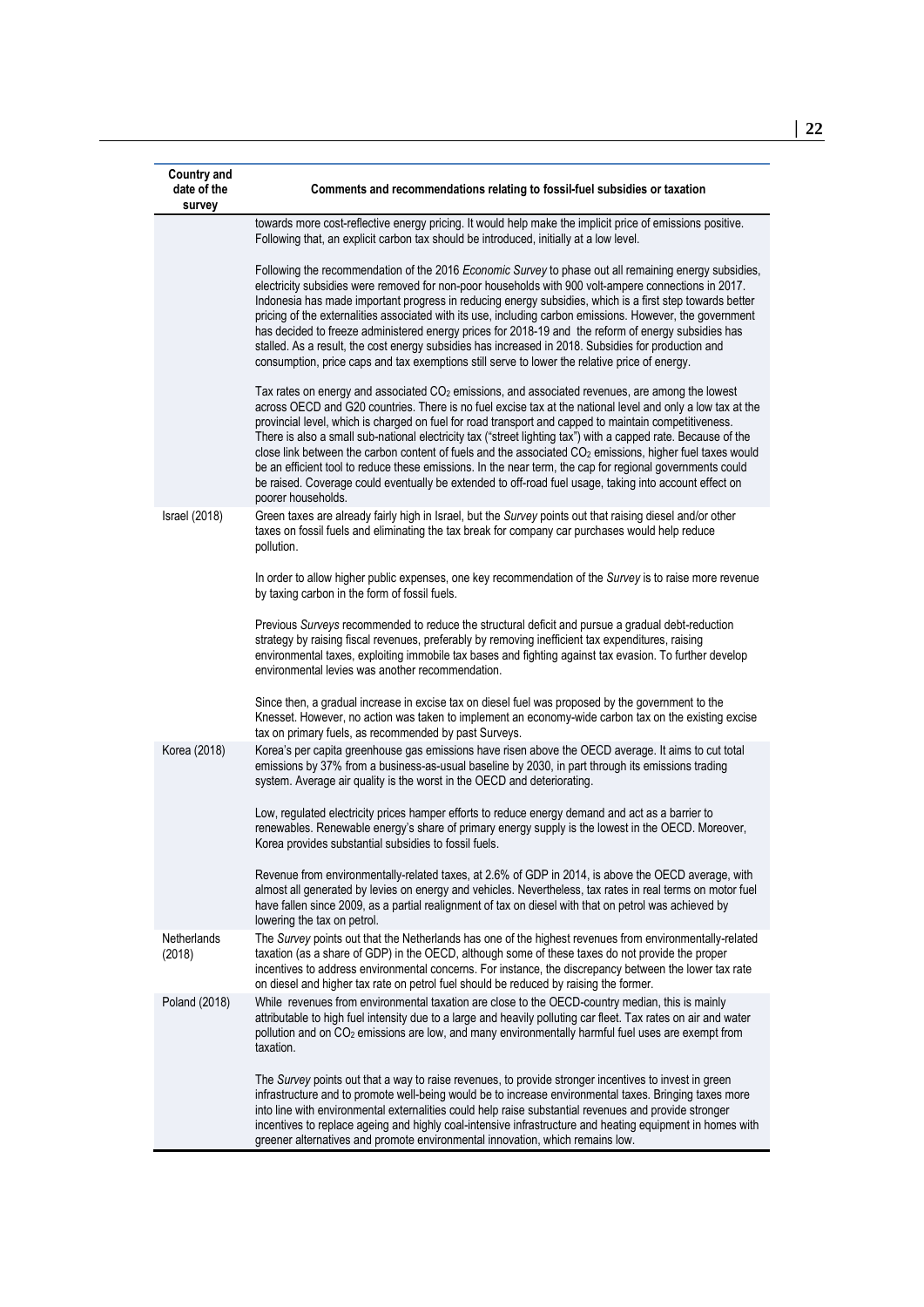| <b>Country and</b><br>date of the<br>survey | Comments and recommendations relating to fossil-fuel subsidies or taxation                                                                                                                                                                                                                                                                                                                                                                                                                                                                                                                                                                                                                                                                                                                                              |
|---------------------------------------------|-------------------------------------------------------------------------------------------------------------------------------------------------------------------------------------------------------------------------------------------------------------------------------------------------------------------------------------------------------------------------------------------------------------------------------------------------------------------------------------------------------------------------------------------------------------------------------------------------------------------------------------------------------------------------------------------------------------------------------------------------------------------------------------------------------------------------|
|                                             | towards more cost-reflective energy pricing. It would help make the implicit price of emissions positive.<br>Following that, an explicit carbon tax should be introduced, initially at a low level.                                                                                                                                                                                                                                                                                                                                                                                                                                                                                                                                                                                                                     |
|                                             | Following the recommendation of the 2016 Economic Survey to phase out all remaining energy subsidies,<br>electricity subsidies were removed for non-poor households with 900 volt-ampere connections in 2017.<br>Indonesia has made important progress in reducing energy subsidies, which is a first step towards better<br>pricing of the externalities associated with its use, including carbon emissions. However, the government<br>has decided to freeze administered energy prices for 2018-19 and the reform of energy subsidies has<br>stalled. As a result, the cost energy subsidies has increased in 2018. Subsidies for production and<br>consumption, price caps and tax exemptions still serve to lower the relative price of energy.                                                                   |
|                                             | Tax rates on energy and associated CO <sub>2</sub> emissions, and associated revenues, are among the lowest<br>across OECD and G20 countries. There is no fuel excise tax at the national level and only a low tax at the<br>provincial level, which is charged on fuel for road transport and capped to maintain competitiveness.<br>There is also a small sub-national electricity tax ("street lighting tax") with a capped rate. Because of the<br>close link between the carbon content of fuels and the associated CO <sub>2</sub> emissions, higher fuel taxes would<br>be an efficient tool to reduce these emissions. In the near term, the cap for regional governments could<br>be raised. Coverage could eventually be extended to off-road fuel usage, taking into account effect on<br>poorer households. |
| <b>Israel</b> (2018)                        | Green taxes are already fairly high in Israel, but the Survey points out that raising diesel and/or other<br>taxes on fossil fuels and eliminating the tax break for company car purchases would help reduce<br>pollution.                                                                                                                                                                                                                                                                                                                                                                                                                                                                                                                                                                                              |
|                                             | In order to allow higher public expenses, one key recommendation of the Survey is to raise more revenue<br>by taxing carbon in the form of fossil fuels.                                                                                                                                                                                                                                                                                                                                                                                                                                                                                                                                                                                                                                                                |
|                                             | Previous Surveys recommended to reduce the structural deficit and pursue a gradual debt-reduction<br>strategy by raising fiscal revenues, preferably by removing inefficient tax expenditures, raising<br>environmental taxes, exploiting immobile tax bases and fighting against tax evasion. To further develop<br>environmental levies was another recommendation.                                                                                                                                                                                                                                                                                                                                                                                                                                                   |
|                                             | Since then, a gradual increase in excise tax on diesel fuel was proposed by the government to the<br>Knesset. However, no action was taken to implement an economy-wide carbon tax on the existing excise<br>tax on primary fuels, as recommended by past Surveys.                                                                                                                                                                                                                                                                                                                                                                                                                                                                                                                                                      |
| Korea (2018)                                | Korea's per capita greenhouse gas emissions have risen above the OECD average. It aims to cut total<br>emissions by 37% from a business-as-usual baseline by 2030, in part through its emissions trading<br>system. Average air quality is the worst in the OECD and deteriorating.                                                                                                                                                                                                                                                                                                                                                                                                                                                                                                                                     |
|                                             | Low, regulated electricity prices hamper efforts to reduce energy demand and act as a barrier to<br>renewables. Renewable energy's share of primary energy supply is the lowest in the OECD. Moreover,<br>Korea provides substantial subsidies to fossil fuels.                                                                                                                                                                                                                                                                                                                                                                                                                                                                                                                                                         |
|                                             | Revenue from environmentally-related taxes, at 2.6% of GDP in 2014, is above the OECD average, with<br>almost all generated by levies on energy and vehicles. Nevertheless, tax rates in real terms on motor fuel<br>have fallen since 2009, as a partial realignment of tax on diesel with that on petrol was achieved by<br>lowering the tax on petrol.                                                                                                                                                                                                                                                                                                                                                                                                                                                               |
| Netherlands<br>(2018)                       | The Survey points out that the Netherlands has one of the highest revenues from environmentally-related<br>taxation (as a share of GDP) in the OECD, although some of these taxes do not provide the proper<br>incentives to address environmental concerns. For instance, the discrepancy between the lower tax rate<br>on diesel and higher tax rate on petrol fuel should be reduced by raising the former.                                                                                                                                                                                                                                                                                                                                                                                                          |
| Poland (2018)                               | While revenues from environmental taxation are close to the OECD-country median, this is mainly<br>attributable to high fuel intensity due to a large and heavily polluting car fleet. Tax rates on air and water<br>pollution and on CO <sub>2</sub> emissions are low, and many environmentally harmful fuel uses are exempt from<br>taxation.                                                                                                                                                                                                                                                                                                                                                                                                                                                                        |
|                                             | The Survey points out that a way to raise revenues, to provide stronger incentives to invest in green<br>infrastructure and to promote well-being would be to increase environmental taxes. Bringing taxes more<br>into line with environmental externalities could help raise substantial revenues and provide stronger<br>incentives to replace ageing and highly coal-intensive infrastructure and heating equipment in homes with<br>greener alternatives and promote environmental innovation, which remains low.                                                                                                                                                                                                                                                                                                  |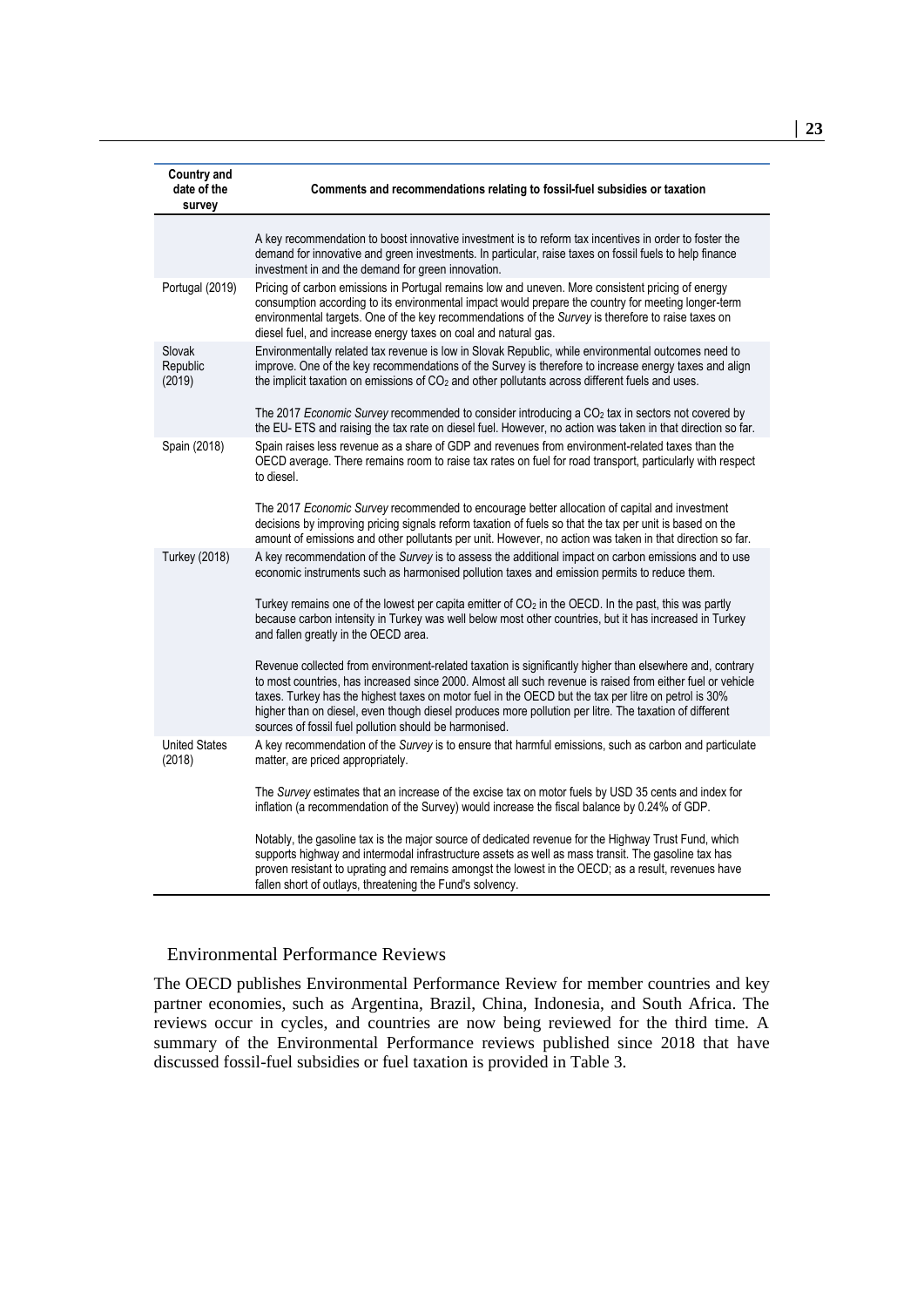| <b>Country and</b><br>date of the<br>survey | Comments and recommendations relating to fossil-fuel subsidies or taxation                                                                                                                                                                                                                                                                                                                                                                                                                         |
|---------------------------------------------|----------------------------------------------------------------------------------------------------------------------------------------------------------------------------------------------------------------------------------------------------------------------------------------------------------------------------------------------------------------------------------------------------------------------------------------------------------------------------------------------------|
|                                             | A key recommendation to boost innovative investment is to reform tax incentives in order to foster the<br>demand for innovative and green investments. In particular, raise taxes on fossil fuels to help finance<br>investment in and the demand for green innovation.                                                                                                                                                                                                                            |
| Portugal (2019)                             | Pricing of carbon emissions in Portugal remains low and uneven. More consistent pricing of energy<br>consumption according to its environmental impact would prepare the country for meeting longer-term<br>environmental targets. One of the key recommendations of the Survey is therefore to raise taxes on<br>diesel fuel, and increase energy taxes on coal and natural gas.                                                                                                                  |
| Slovak<br>Republic<br>(2019)                | Environmentally related tax revenue is low in Slovak Republic, while environmental outcomes need to<br>improve. One of the key recommendations of the Survey is therefore to increase energy taxes and align<br>the implicit taxation on emissions of $CO2$ and other pollutants across different fuels and uses.                                                                                                                                                                                  |
|                                             | The 2017 <i>Economic Survey</i> recommended to consider introducing a CO <sub>2</sub> tax in sectors not covered by<br>the EU- ETS and raising the tax rate on diesel fuel. However, no action was taken in that direction so far.                                                                                                                                                                                                                                                                 |
| Spain (2018)                                | Spain raises less revenue as a share of GDP and revenues from environment-related taxes than the<br>OECD average. There remains room to raise tax rates on fuel for road transport, particularly with respect<br>to diesel.                                                                                                                                                                                                                                                                        |
|                                             | The 2017 Economic Survey recommended to encourage better allocation of capital and investment<br>decisions by improving pricing signals reform taxation of fuels so that the tax per unit is based on the<br>amount of emissions and other pollutants per unit. However, no action was taken in that direction so far.                                                                                                                                                                             |
| <b>Turkey (2018)</b>                        | A key recommendation of the Survey is to assess the additional impact on carbon emissions and to use<br>economic instruments such as harmonised pollution taxes and emission permits to reduce them.                                                                                                                                                                                                                                                                                               |
|                                             | Turkey remains one of the lowest per capita emitter of CO <sub>2</sub> in the OECD. In the past, this was partly<br>because carbon intensity in Turkey was well below most other countries, but it has increased in Turkey<br>and fallen greatly in the OECD area.                                                                                                                                                                                                                                 |
|                                             | Revenue collected from environment-related taxation is significantly higher than elsewhere and, contrary<br>to most countries, has increased since 2000. Almost all such revenue is raised from either fuel or vehicle<br>taxes. Turkey has the highest taxes on motor fuel in the OECD but the tax per litre on petrol is 30%<br>higher than on diesel, even though diesel produces more pollution per litre. The taxation of different<br>sources of fossil fuel pollution should be harmonised. |
| <b>United States</b><br>(2018)              | A key recommendation of the Survey is to ensure that harmful emissions, such as carbon and particulate<br>matter, are priced appropriately.                                                                                                                                                                                                                                                                                                                                                        |
|                                             | The Survey estimates that an increase of the excise tax on motor fuels by USD 35 cents and index for<br>inflation (a recommendation of the Survey) would increase the fiscal balance by 0.24% of GDP.                                                                                                                                                                                                                                                                                              |
|                                             | Notably, the gasoline tax is the major source of dedicated revenue for the Highway Trust Fund, which<br>supports highway and intermodal infrastructure assets as well as mass transit. The gasoline tax has<br>proven resistant to uprating and remains amongst the lowest in the OECD; as a result, revenues have<br>fallen short of outlays, threatening the Fund's solvency.                                                                                                                    |

#### Environmental Performance Reviews

The OECD publishes Environmental Performance Review for member countries and key partner economies, such as Argentina, Brazil, China, Indonesia, and South Africa. The reviews occur in cycles, and countries are now being reviewed for the third time. A summary of the Environmental Performance reviews published since 2018 that have discussed fossil-fuel subsidies or fuel taxation is provided in [Table](#page-23-0) 3.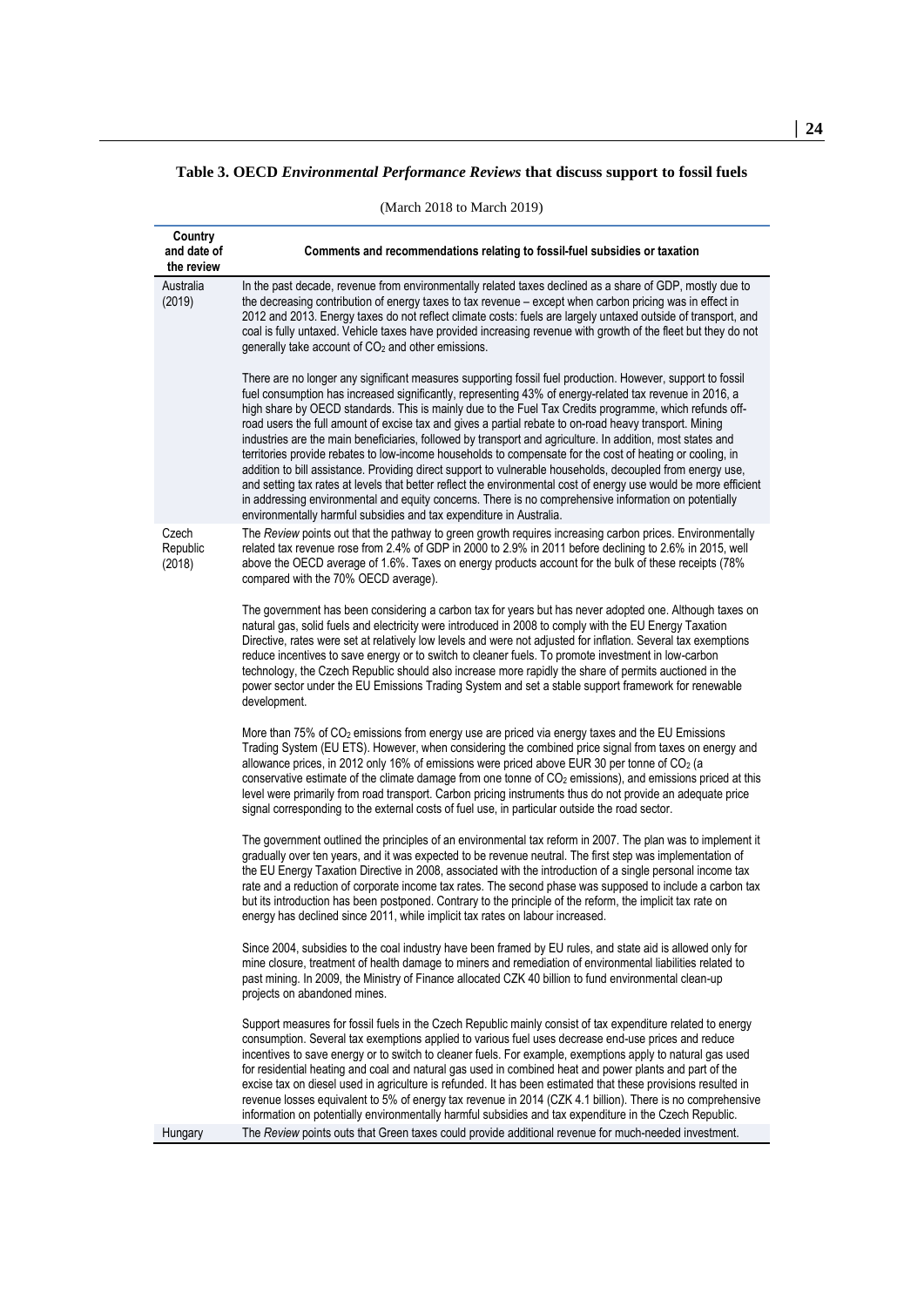#### <span id="page-23-0"></span>**Table 3. OECD** *Environmental Performance Reviews* **that discuss support to fossil fuels**

(March 2018 to March 2019)

| Country<br>and date of<br>the review | Comments and recommendations relating to fossil-fuel subsidies or taxation                                                                                                                                                                                                                                                                                                                                                                                                                                                                                                                                                                                                                                                                                                                                                                                                                                                                                                                                                                                                             |
|--------------------------------------|----------------------------------------------------------------------------------------------------------------------------------------------------------------------------------------------------------------------------------------------------------------------------------------------------------------------------------------------------------------------------------------------------------------------------------------------------------------------------------------------------------------------------------------------------------------------------------------------------------------------------------------------------------------------------------------------------------------------------------------------------------------------------------------------------------------------------------------------------------------------------------------------------------------------------------------------------------------------------------------------------------------------------------------------------------------------------------------|
| Australia<br>(2019)                  | In the past decade, revenue from environmentally related taxes declined as a share of GDP, mostly due to<br>the decreasing contribution of energy taxes to tax revenue - except when carbon pricing was in effect in<br>2012 and 2013. Energy taxes do not reflect climate costs: fuels are largely untaxed outside of transport, and<br>coal is fully untaxed. Vehicle taxes have provided increasing revenue with growth of the fleet but they do not<br>generally take account of CO <sub>2</sub> and other emissions.                                                                                                                                                                                                                                                                                                                                                                                                                                                                                                                                                              |
|                                      | There are no longer any significant measures supporting fossil fuel production. However, support to fossil<br>fuel consumption has increased significantly, representing 43% of energy-related tax revenue in 2016, a<br>high share by OECD standards. This is mainly due to the Fuel Tax Credits programme, which refunds off-<br>road users the full amount of excise tax and gives a partial rebate to on-road heavy transport. Mining<br>industries are the main beneficiaries, followed by transport and agriculture. In addition, most states and<br>territories provide rebates to low-income households to compensate for the cost of heating or cooling, in<br>addition to bill assistance. Providing direct support to vulnerable households, decoupled from energy use,<br>and setting tax rates at levels that better reflect the environmental cost of energy use would be more efficient<br>in addressing environmental and equity concerns. There is no comprehensive information on potentially<br>environmentally harmful subsidies and tax expenditure in Australia. |
| Czech<br>Republic<br>(2018)          | The Review points out that the pathway to green growth requires increasing carbon prices. Environmentally<br>related tax revenue rose from 2.4% of GDP in 2000 to 2.9% in 2011 before declining to 2.6% in 2015, well<br>above the OECD average of 1.6%. Taxes on energy products account for the bulk of these receipts (78%<br>compared with the 70% OECD average).                                                                                                                                                                                                                                                                                                                                                                                                                                                                                                                                                                                                                                                                                                                  |
|                                      | The government has been considering a carbon tax for years but has never adopted one. Although taxes on<br>natural gas, solid fuels and electricity were introduced in 2008 to comply with the EU Energy Taxation<br>Directive, rates were set at relatively low levels and were not adjusted for inflation. Several tax exemptions<br>reduce incentives to save energy or to switch to cleaner fuels. To promote investment in low-carbon<br>technology, the Czech Republic should also increase more rapidly the share of permits auctioned in the<br>power sector under the EU Emissions Trading System and set a stable support framework for renewable<br>development.                                                                                                                                                                                                                                                                                                                                                                                                            |
|                                      | More than 75% of CO <sub>2</sub> emissions from energy use are priced via energy taxes and the EU Emissions<br>Trading System (EU ETS). However, when considering the combined price signal from taxes on energy and<br>allowance prices, in 2012 only 16% of emissions were priced above EUR 30 per tonne of $CO2$ (a<br>conservative estimate of the climate damage from one tonne of $CO2$ emissions), and emissions priced at this<br>level were primarily from road transport. Carbon pricing instruments thus do not provide an adequate price<br>signal corresponding to the external costs of fuel use, in particular outside the road sector.                                                                                                                                                                                                                                                                                                                                                                                                                                 |
|                                      | The government outlined the principles of an environmental tax reform in 2007. The plan was to implement it<br>gradually over ten years, and it was expected to be revenue neutral. The first step was implementation of<br>the EU Energy Taxation Directive in 2008, associated with the introduction of a single personal income tax<br>rate and a reduction of corporate income tax rates. The second phase was supposed to include a carbon tax<br>but its introduction has been postponed. Contrary to the principle of the reform, the implicit tax rate on<br>energy has declined since 2011, while implicit tax rates on labour increased.                                                                                                                                                                                                                                                                                                                                                                                                                                     |
|                                      | Since 2004, subsidies to the coal industry have been framed by EU rules, and state aid is allowed only for<br>mine closure, treatment of health damage to miners and remediation of environmental liabilities related to<br>past mining. In 2009, the Ministry of Finance allocated CZK 40 billion to fund environmental clean-up<br>projects on abandoned mines.                                                                                                                                                                                                                                                                                                                                                                                                                                                                                                                                                                                                                                                                                                                      |
|                                      | Support measures for fossil fuels in the Czech Republic mainly consist of tax expenditure related to energy<br>consumption. Several tax exemptions applied to various fuel uses decrease end-use prices and reduce<br>incentives to save energy or to switch to cleaner fuels. For example, exemptions apply to natural gas used<br>for residential heating and coal and natural gas used in combined heat and power plants and part of the<br>excise tax on diesel used in agriculture is refunded. It has been estimated that these provisions resulted in<br>revenue losses equivalent to 5% of energy tax revenue in 2014 (CZK 4.1 billion). There is no comprehensive<br>information on potentially environmentally harmful subsidies and tax expenditure in the Czech Republic.                                                                                                                                                                                                                                                                                                  |
| Hungary                              | The Review points outs that Green taxes could provide additional revenue for much-needed investment.                                                                                                                                                                                                                                                                                                                                                                                                                                                                                                                                                                                                                                                                                                                                                                                                                                                                                                                                                                                   |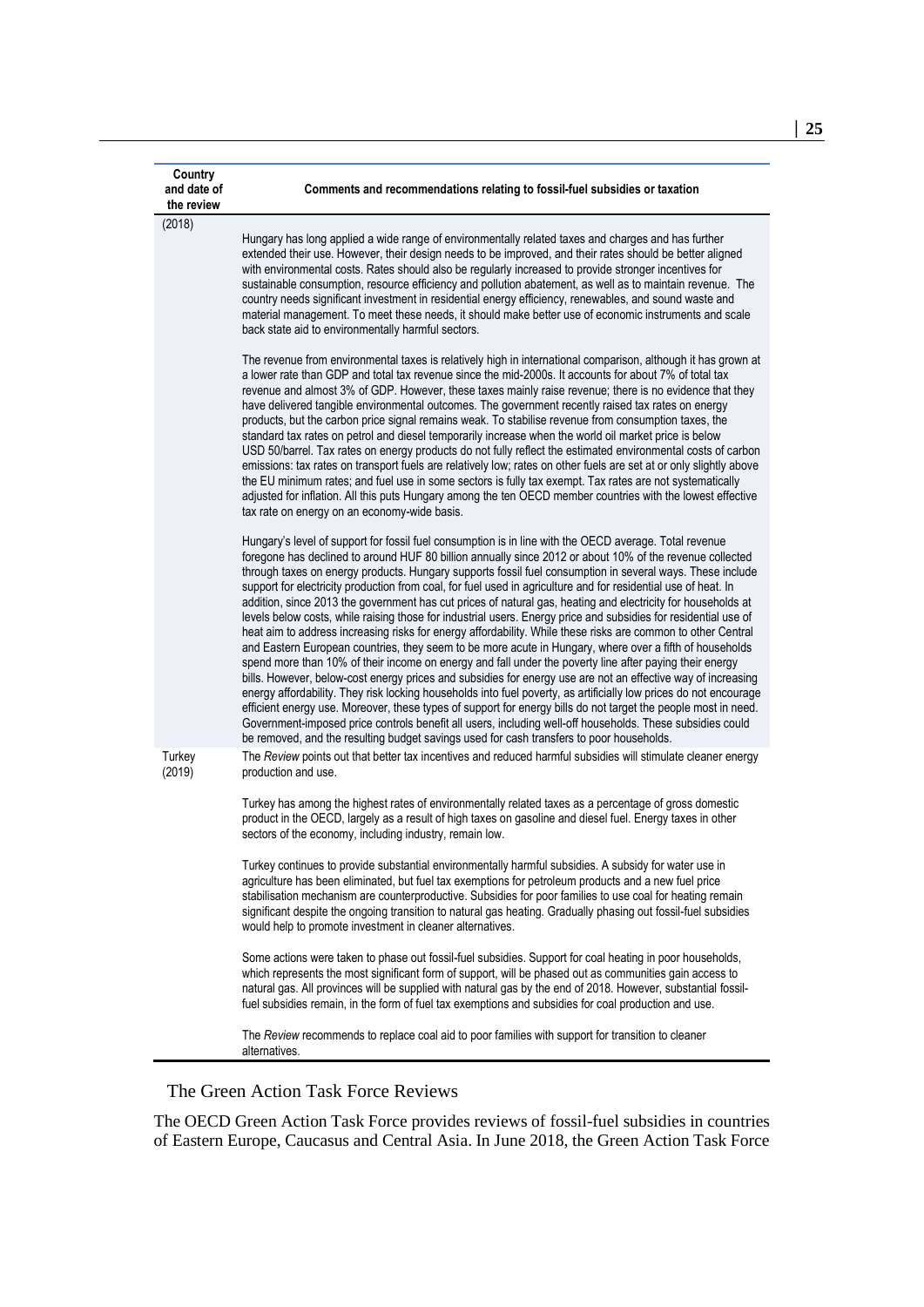| Country<br>and date of<br>the review | Comments and recommendations relating to fossil-fuel subsidies or taxation                                                                                                                                                                                                                                                                                                                                                                                                                                                                                                                                                                                                                                                                                                                                                                                                                                                                                                                                                                                                                                                                                                                                                                                                                                                                                                                                                                                                                                                                                                                 |
|--------------------------------------|--------------------------------------------------------------------------------------------------------------------------------------------------------------------------------------------------------------------------------------------------------------------------------------------------------------------------------------------------------------------------------------------------------------------------------------------------------------------------------------------------------------------------------------------------------------------------------------------------------------------------------------------------------------------------------------------------------------------------------------------------------------------------------------------------------------------------------------------------------------------------------------------------------------------------------------------------------------------------------------------------------------------------------------------------------------------------------------------------------------------------------------------------------------------------------------------------------------------------------------------------------------------------------------------------------------------------------------------------------------------------------------------------------------------------------------------------------------------------------------------------------------------------------------------------------------------------------------------|
| (2018)                               | Hungary has long applied a wide range of environmentally related taxes and charges and has further<br>extended their use. However, their design needs to be improved, and their rates should be better aligned<br>with environmental costs. Rates should also be regularly increased to provide stronger incentives for<br>sustainable consumption, resource efficiency and pollution abatement, as well as to maintain revenue. The<br>country needs significant investment in residential energy efficiency, renewables, and sound waste and<br>material management. To meet these needs, it should make better use of economic instruments and scale<br>back state aid to environmentally harmful sectors.                                                                                                                                                                                                                                                                                                                                                                                                                                                                                                                                                                                                                                                                                                                                                                                                                                                                              |
|                                      | The revenue from environmental taxes is relatively high in international comparison, although it has grown at<br>a lower rate than GDP and total tax revenue since the mid-2000s. It accounts for about 7% of total tax<br>revenue and almost 3% of GDP. However, these taxes mainly raise revenue; there is no evidence that they<br>have delivered tangible environmental outcomes. The government recently raised tax rates on energy<br>products, but the carbon price signal remains weak. To stabilise revenue from consumption taxes, the<br>standard tax rates on petrol and diesel temporarily increase when the world oil market price is below<br>USD 50/barrel. Tax rates on energy products do not fully reflect the estimated environmental costs of carbon<br>emissions: tax rates on transport fuels are relatively low; rates on other fuels are set at or only slightly above<br>the EU minimum rates; and fuel use in some sectors is fully tax exempt. Tax rates are not systematically<br>adjusted for inflation. All this puts Hungary among the ten OECD member countries with the lowest effective<br>tax rate on energy on an economy-wide basis.                                                                                                                                                                                                                                                                                                                                                                                                                 |
|                                      | Hungary's level of support for fossil fuel consumption is in line with the OECD average. Total revenue<br>foregone has declined to around HUF 80 billion annually since 2012 or about 10% of the revenue collected<br>through taxes on energy products. Hungary supports fossil fuel consumption in several ways. These include<br>support for electricity production from coal, for fuel used in agriculture and for residential use of heat. In<br>addition, since 2013 the government has cut prices of natural gas, heating and electricity for households at<br>levels below costs, while raising those for industrial users. Energy price and subsidies for residential use of<br>heat aim to address increasing risks for energy affordability. While these risks are common to other Central<br>and Eastern European countries, they seem to be more acute in Hungary, where over a fifth of households<br>spend more than 10% of their income on energy and fall under the poverty line after paying their energy<br>bills. However, below-cost energy prices and subsidies for energy use are not an effective way of increasing<br>energy affordability. They risk locking households into fuel poverty, as artificially low prices do not encourage<br>efficient energy use. Moreover, these types of support for energy bills do not target the people most in need.<br>Government-imposed price controls benefit all users, including well-off households. These subsidies could<br>be removed, and the resulting budget savings used for cash transfers to poor households. |
| Turkey<br>(2019)                     | The Review points out that better tax incentives and reduced harmful subsidies will stimulate cleaner energy<br>production and use.<br>Turkey has among the highest rates of environmentally related taxes as a percentage of gross domestic<br>product in the OECD, largely as a result of high taxes on gasoline and diesel fuel. Energy taxes in other                                                                                                                                                                                                                                                                                                                                                                                                                                                                                                                                                                                                                                                                                                                                                                                                                                                                                                                                                                                                                                                                                                                                                                                                                                  |
|                                      | sectors of the economy, including industry, remain low.<br>Turkey continues to provide substantial environmentally harmful subsidies. A subsidy for water use in<br>agriculture has been eliminated, but fuel tax exemptions for petroleum products and a new fuel price<br>stabilisation mechanism are counterproductive. Subsidies for poor families to use coal for heating remain<br>significant despite the ongoing transition to natural gas heating. Gradually phasing out fossil-fuel subsidies<br>would help to promote investment in cleaner alternatives.                                                                                                                                                                                                                                                                                                                                                                                                                                                                                                                                                                                                                                                                                                                                                                                                                                                                                                                                                                                                                       |
|                                      | Some actions were taken to phase out fossil-fuel subsidies. Support for coal heating in poor households,<br>which represents the most significant form of support, will be phased out as communities gain access to<br>natural gas. All provinces will be supplied with natural gas by the end of 2018. However, substantial fossil-<br>fuel subsidies remain, in the form of fuel tax exemptions and subsidies for coal production and use.                                                                                                                                                                                                                                                                                                                                                                                                                                                                                                                                                                                                                                                                                                                                                                                                                                                                                                                                                                                                                                                                                                                                               |
|                                      | The Review recommends to replace coal aid to poor families with support for transition to cleaner<br>alternatives.                                                                                                                                                                                                                                                                                                                                                                                                                                                                                                                                                                                                                                                                                                                                                                                                                                                                                                                                                                                                                                                                                                                                                                                                                                                                                                                                                                                                                                                                         |

#### The Green Action Task Force Reviews

The OECD Green Action Task Force provides reviews of fossil-fuel subsidies in countries of Eastern Europe, Caucasus and Central Asia. In June 2018, the Green Action Task Force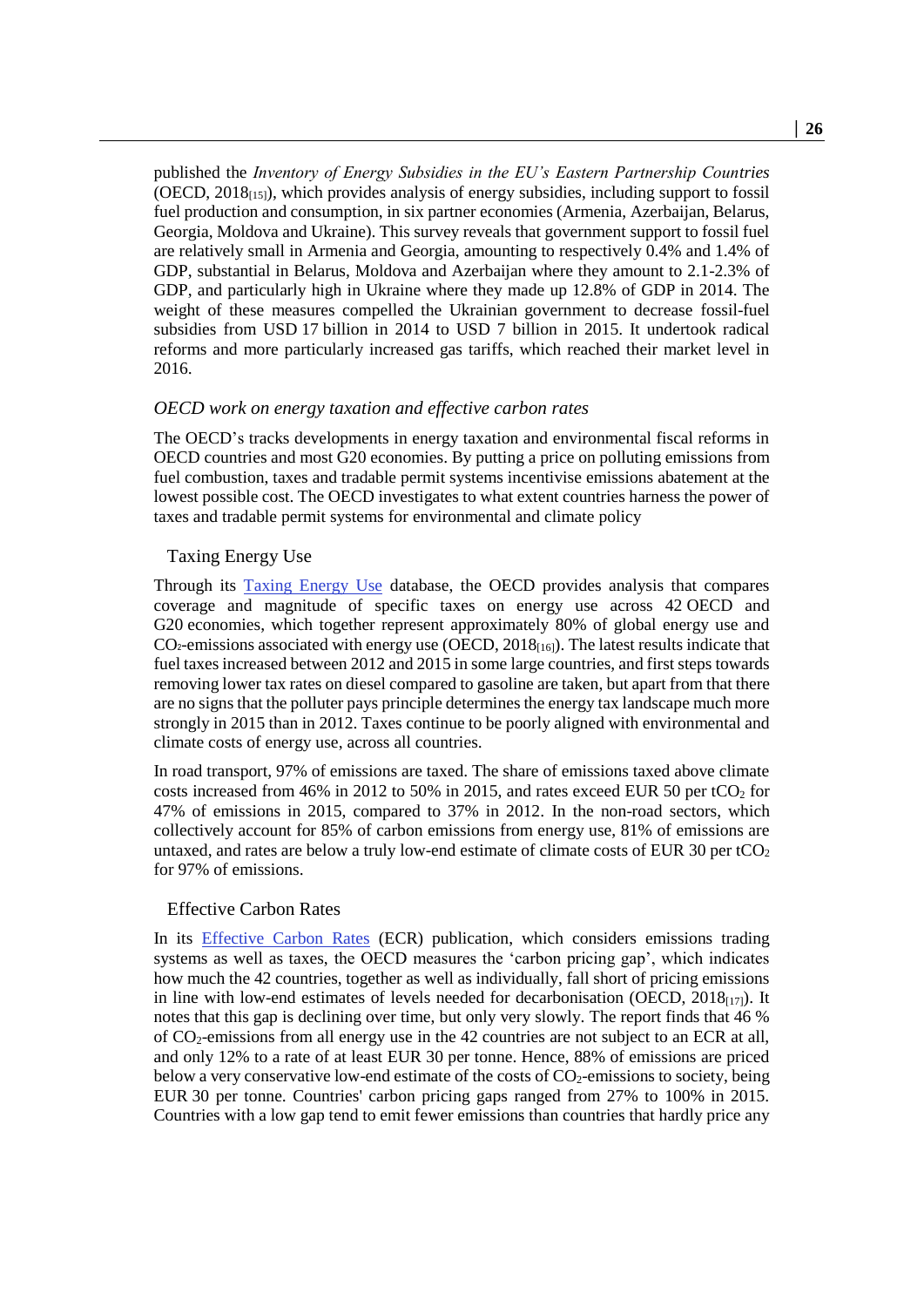published the *Inventory of Energy Subsidies in the EU's Eastern Partnership Countries*  (OECD,  $2018_{[15]}$ ), which provides analysis of energy subsidies, including support to fossil fuel production and consumption, in six partner economies (Armenia, Azerbaijan, Belarus, Georgia, Moldova and Ukraine). This survey reveals that government support to fossil fuel are relatively small in Armenia and Georgia, amounting to respectively 0.4% and 1.4% of GDP, substantial in Belarus, Moldova and Azerbaijan where they amount to 2.1-2.3% of GDP, and particularly high in Ukraine where they made up 12.8% of GDP in 2014. The weight of these measures compelled the Ukrainian government to decrease fossil-fuel subsidies from USD 17 billion in 2014 to USD 7 billion in 2015. It undertook radical reforms and more particularly increased gas tariffs, which reached their market level in 2016.

#### *OECD work on energy taxation and effective carbon rates*

The OECD's tracks developments in energy taxation and environmental fiscal reforms in OECD countries and most G20 economies. By putting a price on polluting emissions from fuel combustion, taxes and tradable permit systems incentivise emissions abatement at the lowest possible cost. The OECD investigates to what extent countries harness the power of taxes and tradable permit systems for environmental and climate policy

#### Taxing Energy Use

Through its [Taxing Energy Use](http://www.oecd.org/tax/tax-policy/taxing-energy-use-2018-9789264289635-en.htm) database, the OECD provides analysis that compares coverage and magnitude of specific taxes on energy use across 42 OECD and G20 economies, which together represent approximately 80% of global energy use and  $CO<sub>2</sub>$ -emissions associated with energy use (OECD, 2018<sub>[16]</sub>). The latest results indicate that fuel taxes increased between 2012 and 2015 in some large countries, and first steps towards removing lower tax rates on diesel compared to gasoline are taken, but apart from that there are no signs that the polluter pays principle determines the energy tax landscape much more strongly in 2015 than in 2012. Taxes continue to be poorly aligned with environmental and climate costs of energy use, across all countries.

In road transport, 97% of emissions are taxed. The share of emissions taxed above climate costs increased from 46% in 2012 to 50% in 2015, and rates exceed EUR 50 per tCO<sub>2</sub> for 47% of emissions in 2015, compared to 37% in 2012. In the non-road sectors, which collectively account for 85% of carbon emissions from energy use, 81% of emissions are untaxed, and rates are below a truly low-end estimate of climate costs of EUR 30 per  $tCO<sub>2</sub>$ for 97% of emissions.

#### Effective Carbon Rates

In its [Effective Carbon Rates](http://www.oecd.org/tax/tax-policy/effective-carbon-rates-2018-9789264305304-en.htm) (ECR) publication, which considers emissions trading systems as well as taxes, the OECD measures the 'carbon pricing gap', which indicates how much the 42 countries, together as well as individually, fall short of pricing emissions in line with low-end estimates of levels needed for decarbonisation (OECD,  $2018_{[17]}$ ). It notes that this gap is declining over time, but only very slowly. The report finds that 46 % of CO2-emissions from all energy use in the 42 countries are not subject to an ECR at all, and only 12% to a rate of at least EUR 30 per tonne. Hence, 88% of emissions are priced below a very conservative low-end estimate of the costs of  $CO<sub>2</sub>$ -emissions to society, being EUR 30 per tonne. Countries' carbon pricing gaps ranged from 27% to 100% in 2015. Countries with a low gap tend to emit fewer emissions than countries that hardly price any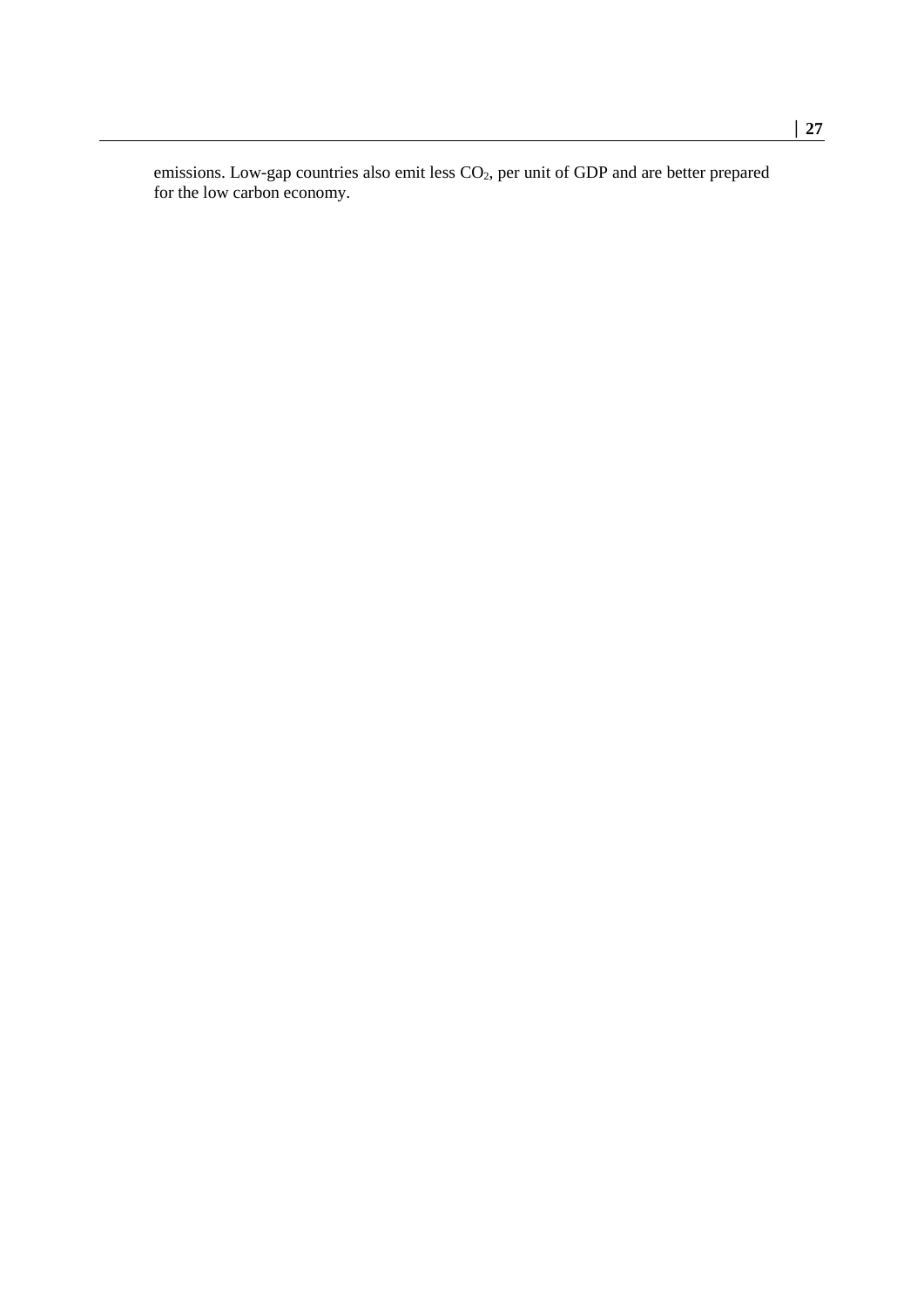emissions. Low-gap countries also emit less  $CO<sub>2</sub>$ , per unit of GDP and are better prepared for the low carbon economy.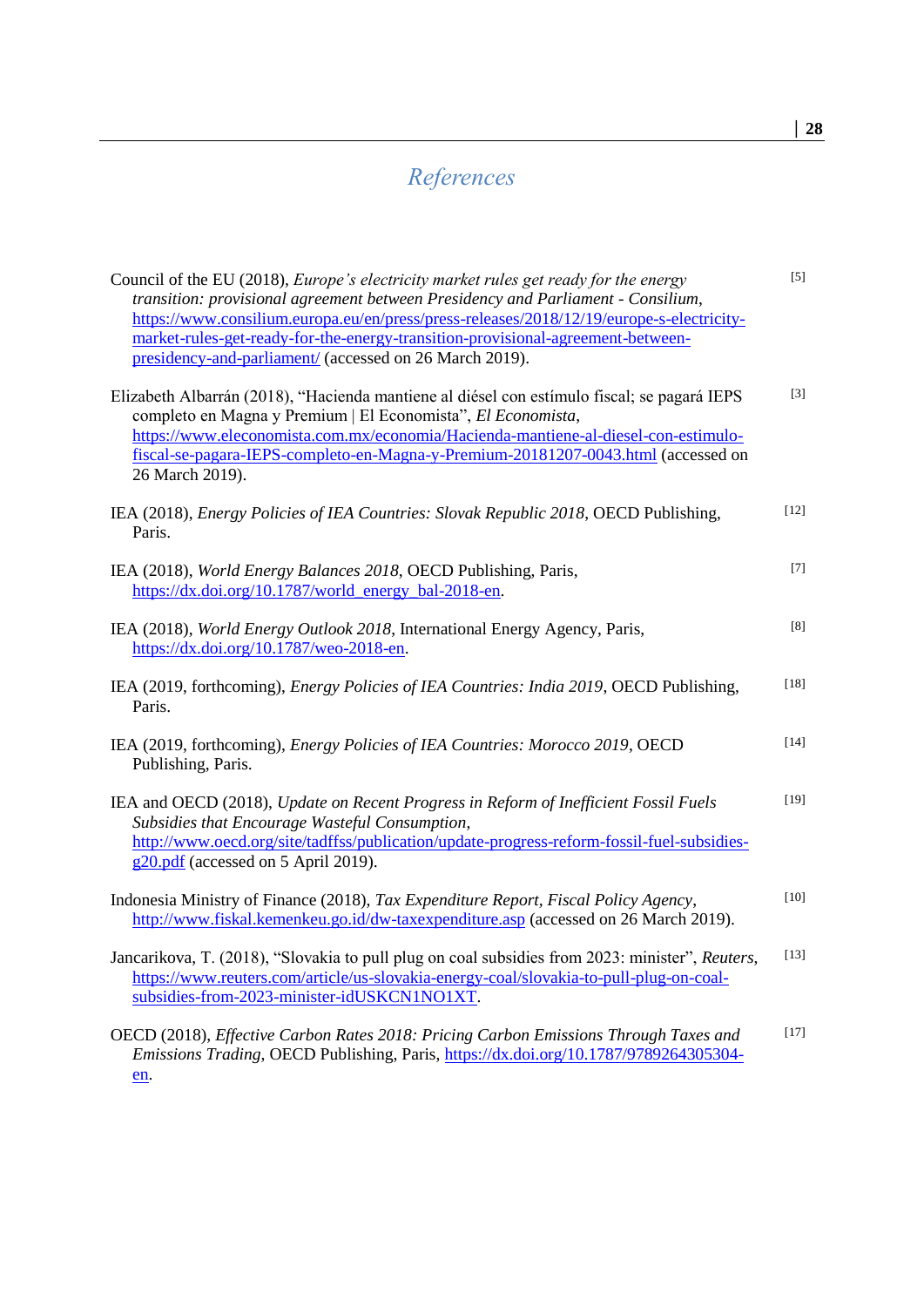## <span id="page-27-0"></span>*References*

| Council of the EU (2018), <i>Europe's electricity market rules get ready for the energy</i><br>transition: provisional agreement between Presidency and Parliament - Consilium,<br>https://www.consilium.europa.eu/en/press/press-releases/2018/12/19/europe-s-electricity-<br>market-rules-get-ready-for-the-energy-transition-provisional-agreement-between-<br>presidency-and-parliament/ (accessed on 26 March 2019). | $[5]$                                                                                                                                                                                                                                                                                                                                                                                                                                                                                                             |
|---------------------------------------------------------------------------------------------------------------------------------------------------------------------------------------------------------------------------------------------------------------------------------------------------------------------------------------------------------------------------------------------------------------------------|-------------------------------------------------------------------------------------------------------------------------------------------------------------------------------------------------------------------------------------------------------------------------------------------------------------------------------------------------------------------------------------------------------------------------------------------------------------------------------------------------------------------|
| Elizabeth Albarrán (2018), "Hacienda mantiene al diésel con estímulo fiscal; se pagará IEPS<br>completo en Magna y Premium   El Economista", El Economista,<br>https://www.eleconomista.com.mx/economia/Hacienda-mantiene-al-diesel-con-estimulo-<br>fiscal-se-pagara-IEPS-completo-en-Magna-y-Premium-20181207-0043.html (accessed on<br>26 March 2019).                                                                 | $[3]$                                                                                                                                                                                                                                                                                                                                                                                                                                                                                                             |
| IEA (2018), <i>Energy Policies of IEA Countries: Slovak Republic 2018</i> , OECD Publishing,<br>Paris.                                                                                                                                                                                                                                                                                                                    | $[12]$                                                                                                                                                                                                                                                                                                                                                                                                                                                                                                            |
| IEA (2018), World Energy Balances 2018, OECD Publishing, Paris,<br>https://dx.doi.org/10.1787/world_energy_bal-2018-en.                                                                                                                                                                                                                                                                                                   | $[7] \centering% \includegraphics[width=1\textwidth]{images/TransY.pdf} \caption{The first two different values of $d=3$ and $d=4$ (left) and the second term (right) of $d=4$ (right) and $d=4$ (right) and $d=4$ (right) and $d=4$ (right) and $d=4$ (right) and $d=4$ (right) and $d=4$ (right) and $d=4$ (right) and $d=4$ (right) and $d=4$ (right) and $d=4$ (right) and $d=4$ (right) and $d=4$ (right) and $d=4$ (right) and $d=4$ (right) and $d=4$ (right) and $d=4$ (right) and $d=4$ (right) and $d=$ |
| IEA (2018), World Energy Outlook 2018, International Energy Agency, Paris,<br>https://dx.doi.org/10.1787/weo-2018-en.                                                                                                                                                                                                                                                                                                     | $\left[ 8\right]$                                                                                                                                                                                                                                                                                                                                                                                                                                                                                                 |
| IEA (2019, forthcoming), <i>Energy Policies of IEA Countries: India 2019</i> , OECD Publishing,<br>Paris.                                                                                                                                                                                                                                                                                                                 | $[18]$                                                                                                                                                                                                                                                                                                                                                                                                                                                                                                            |
| IEA (2019, forthcoming), <i>Energy Policies of IEA Countries: Morocco 2019</i> , OECD<br>Publishing, Paris.                                                                                                                                                                                                                                                                                                               | $[14]$                                                                                                                                                                                                                                                                                                                                                                                                                                                                                                            |
| IEA and OECD (2018), Update on Recent Progress in Reform of Inefficient Fossil Fuels<br>Subsidies that Encourage Wasteful Consumption,<br>http://www.oecd.org/site/tadffss/publication/update-progress-reform-fossil-fuel-subsidies-<br>$g20.pdf$ (accessed on 5 April 2019).                                                                                                                                             | $[19]$                                                                                                                                                                                                                                                                                                                                                                                                                                                                                                            |
| Indonesia Ministry of Finance (2018), Tax Expenditure Report, Fiscal Policy Agency,<br>http://www.fiskal.kemenkeu.go.id/dw-taxexpenditure.asp (accessed on 26 March 2019).                                                                                                                                                                                                                                                | $[10]$                                                                                                                                                                                                                                                                                                                                                                                                                                                                                                            |
| Jancarikova, T. (2018), "Slovakia to pull plug on coal subsidies from 2023: minister", Reuters,<br>https://www.reuters.com/article/us-slovakia-energy-coal/slovakia-to-pull-plug-on-coal-<br>subsidies-from-2023-minister-idUSKCN1NO1XT.                                                                                                                                                                                  | $[13]$                                                                                                                                                                                                                                                                                                                                                                                                                                                                                                            |
| OECD (2018), Effective Carbon Rates 2018: Pricing Carbon Emissions Through Taxes and<br>Emissions Trading, OECD Publishing, Paris, https://dx.doi.org/10.1787/9789264305304-<br>en.                                                                                                                                                                                                                                       | $[17]$                                                                                                                                                                                                                                                                                                                                                                                                                                                                                                            |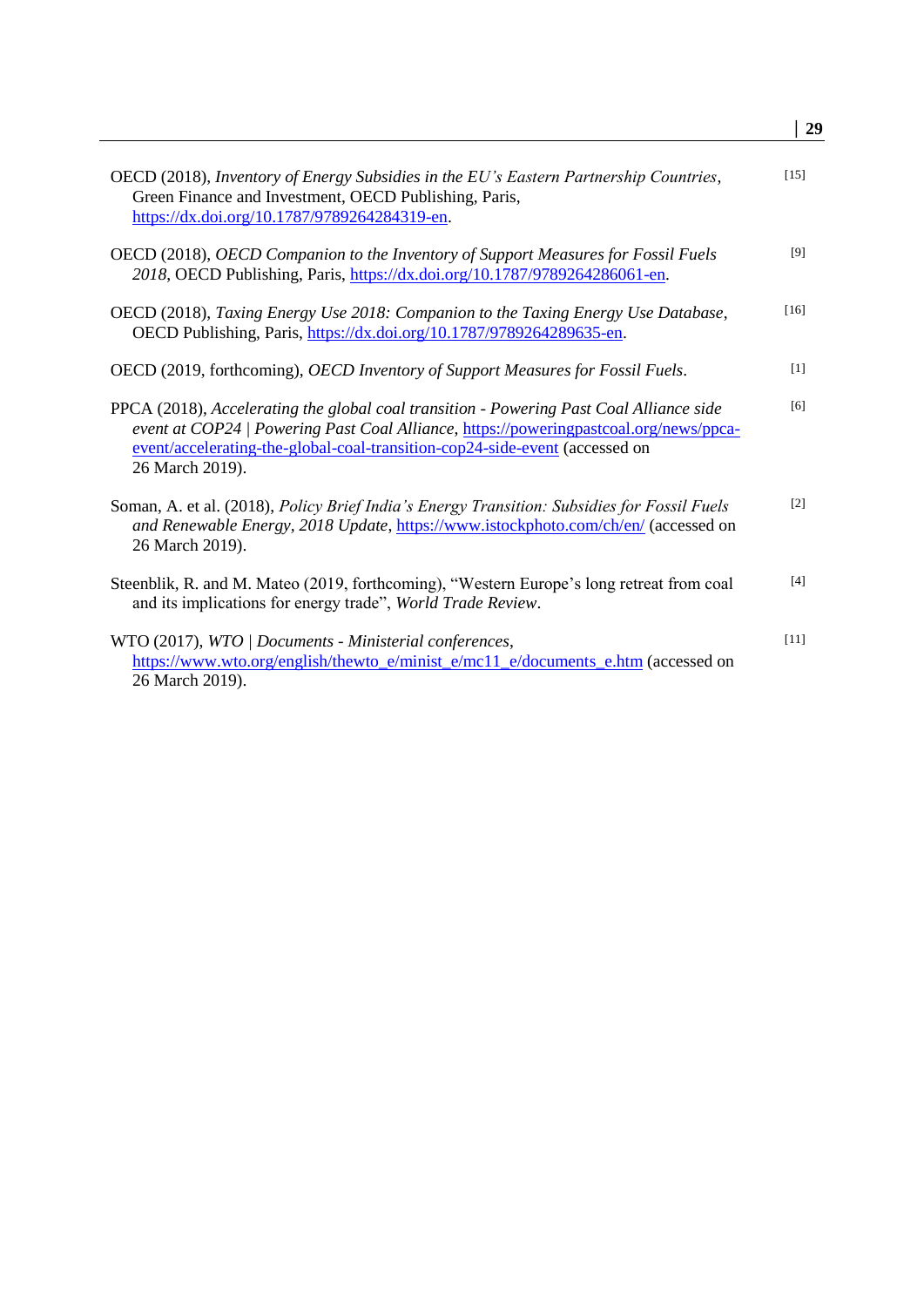|                                                                                                                                                                                                                                                                                    | 29     |
|------------------------------------------------------------------------------------------------------------------------------------------------------------------------------------------------------------------------------------------------------------------------------------|--------|
| OECD (2018), Inventory of Energy Subsidies in the EU's Eastern Partnership Countries,<br>Green Finance and Investment, OECD Publishing, Paris,<br>https://dx.doi.org/10.1787/9789264284319-en.                                                                                     | [15]   |
| OECD (2018), <i>OECD Companion to the Inventory of Support Measures for Fossil Fuels</i><br>2018, OECD Publishing, Paris, https://dx.doi.org/10.1787/9789264286061-en.                                                                                                             | [9]    |
| OECD (2018), Taxing Energy Use 2018: Companion to the Taxing Energy Use Database,<br>OECD Publishing, Paris, https://dx.doi.org/10.1787/9789264289635-en.                                                                                                                          | $[16]$ |
| OECD (2019, forthcoming), <i>OECD Inventory of Support Measures for Fossil Fuels</i> .                                                                                                                                                                                             | $[1]$  |
| PPCA (2018), Accelerating the global coal transition - Powering Past Coal Alliance side<br>event at COP24   Powering Past Coal Alliance, https://poweringpastcoal.org/news/ppca-<br>event/accelerating-the-global-coal-transition-cop24-side-event (accessed on<br>26 March 2019). | [6]    |
| Soman, A. et al. (2018), Policy Brief India's Energy Transition: Subsidies for Fossil Fuels<br>and Renewable Energy, 2018 Update, https://www.istockphoto.com/ch/en/ (accessed on<br>26 March 2019).                                                                               | $[2]$  |
| Steenblik, R. and M. Mateo (2019, forthcoming), "Western Europe's long retreat from coal<br>and its implications for energy trade", World Trade Review.                                                                                                                            | [4]    |
| WTO (2017), WTO / Documents - Ministerial conferences,<br>https://www.wto.org/english/thewto_e/minist_e/mc11_e/documents_e.htm (accessed on<br>26 March 2019).                                                                                                                     | $[11]$ |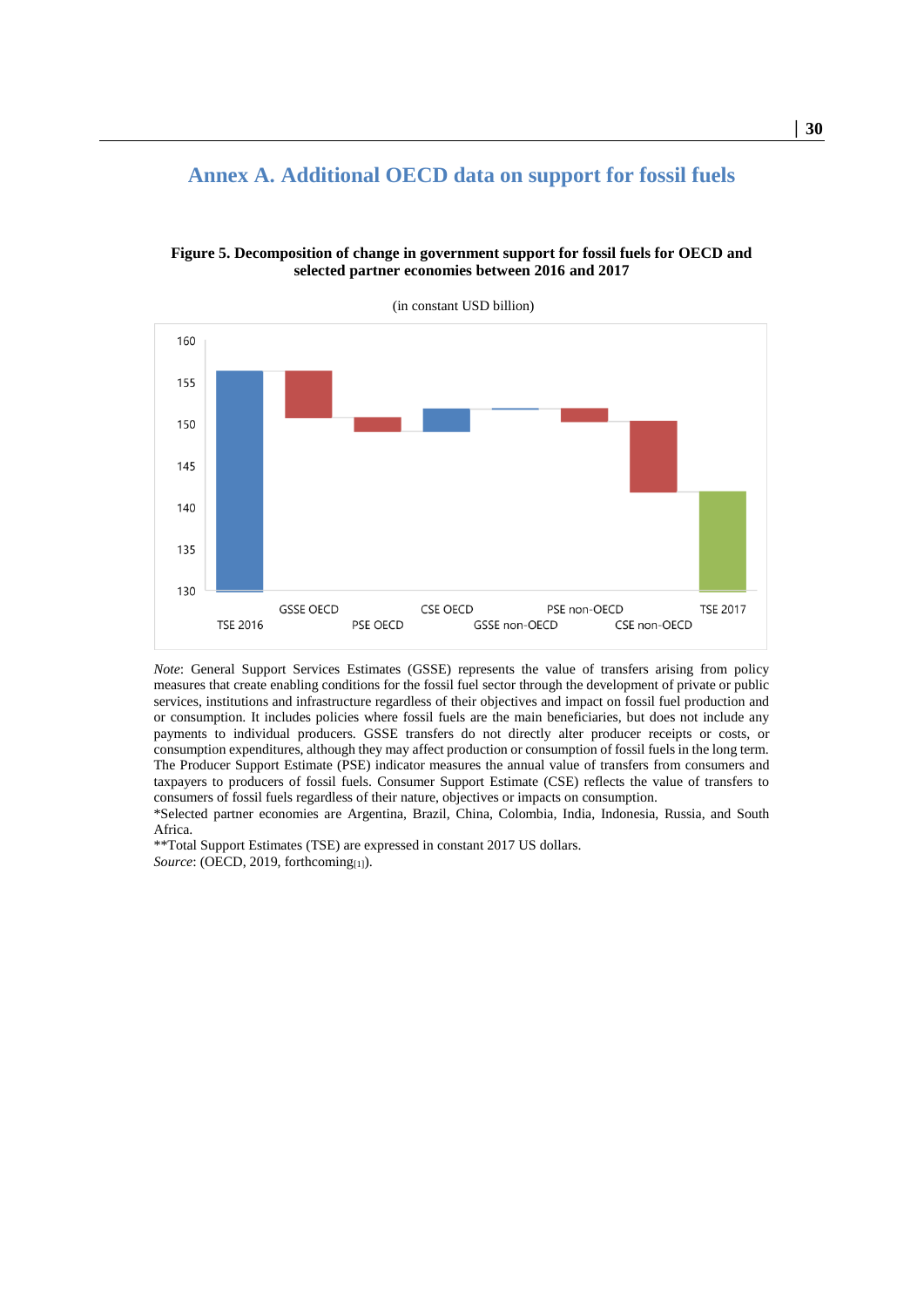<span id="page-29-0"></span>

**Figure 5. Decomposition of change in government support for fossil fuels for OECD and selected partner economies between 2016 and 2017**

<span id="page-29-1"></span>

*Note*: General Support Services Estimates (GSSE) represents the value of transfers arising from policy measures that create enabling conditions for the fossil fuel sector through the development of private or public services, institutions and infrastructure regardless of their objectives and impact on fossil fuel production and or consumption. It includes policies where fossil fuels are the main beneficiaries, but does not include any payments to individual producers. GSSE transfers do not directly alter producer receipts or costs, or consumption expenditures, although they may affect production or consumption of fossil fuels in the long term. The Producer Support Estimate (PSE) indicator measures the annual value of transfers from consumers and taxpayers to producers of fossil fuels. Consumer Support Estimate (CSE) reflects the value of transfers to consumers of fossil fuels regardless of their nature, objectives or impacts on consumption.

\*Selected partner economies are Argentina, Brazil, China, Colombia, India, Indonesia, Russia, and South Africa.

\*\*Total Support Estimates (TSE) are expressed in constant 2017 US dollars. *Source*: (OECD, 2019, forthcoming[1]).